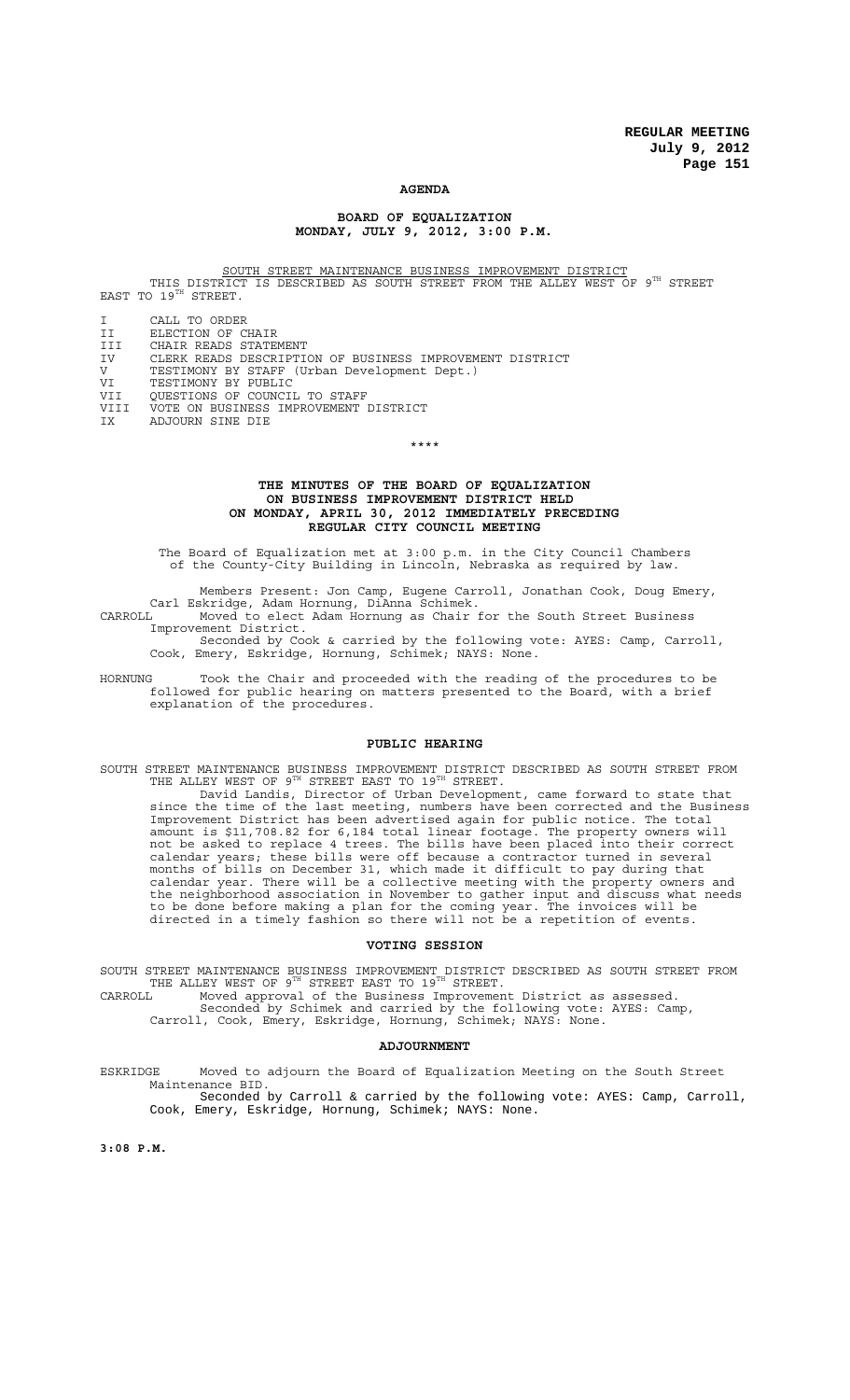## **AGENDA**

# **BOARD OF EQUALIZATION MONDAY, JULY 9, 2012, 3:00 P.M.**

SOUTH STREET MAINTENANCE BUSINESS IMPROVEMENT DISTRICT THIS DISTRICT IS DESCRIBED AS SOUTH STREET FROM THE ALLEY WEST OF 9<sup>TH</sup> STREET EAST TO 19TH STREET. I CALL TO ORDER<br>II ELECTION OF C II ELECTION OF CHAIR III CHAIR READS STATEMENT IV CLERK READS DESCRIPTION OF BUSINESS IMPROVEMENT DISTRICT V TESTIMONY BY STAFF (Urban Development Dept.) VI TESTIMONY BY PUBLIC VII QUESTIONS OF COUNCIL TO STAFF<br>VIII VOTE ON BUSINESS IMPROVEMENT I VIII VOTE ON BUSINESS IMPROVEMENT DISTRICT<br>IX ADJOURN SINE DIE ADJOURN SINE DIE

\*\*\*\*

#### **THE MINUTES OF THE BOARD OF EQUALIZATION ON BUSINESS IMPROVEMENT DISTRICT HELD ON MONDAY, APRIL 30, 2012 IMMEDIATELY PRECEDING REGULAR CITY COUNCIL MEETING**

The Board of Equalization met at 3:00 p.m. in the City Council Chambers of the County-City Building in Lincoln, Nebraska as required by law.

Members Present: Jon Camp, Eugene Carroll, Jonathan Cook, Doug Emery, Carl Eskridge, Adam Hornung, DiAnna Schimek. CARROLL Moved to elect Adam Hornung as Chair for the South Street Business Improvement District.

Seconded by Cook & carried by the following vote: AYES: Camp, Carroll, Cook, Emery, Eskridge, Hornung, Schimek; NAYS: None.

HORNUNG Took the Chair and proceeded with the reading of the procedures to be followed for public hearing on matters presented to the Board, with a brief explanation of the procedures.

# **PUBLIC HEARING**

SOUTH STREET MAINTENANCE BUSINESS IMPROVEMENT DISTRICT DESCRIBED AS SOUTH STREET FROM<br>THE ALLEY WEST OF 9TH STREET EAST TO 19TH STREET.

David Landis, Director of Urban Development, came forward to state that since the time of the last meeting, numbers have been corrected and the Business Improvement District has been advertised again for public notice. The total amount is \$11,708.82 for 6,184 total linear footage. The property owners will not be asked to replace 4 trees. The bills have been placed into their correct calendar years; these bills were off because a contractor turned in several months of bills on December 31, which made it difficult to pay during that calendar year. There will be a collective meeting with the property owners and the neighborhood association in November to gather input and discuss what needs to be done before making a plan for the coming year. The invoices will be directed in a timely fashion so there will not be a repetition of events.

#### **VOTING SESSION**

SOUTH STREET MAINTENANCE BUSINESS IMPROVEMENT DISTRICT DESCRIBED AS SOUTH STREET FROM<br>THE ALLEY WEST OF 9TH STREET EAST TO 19TH STREET. CARROLL Moved approval of the Business Improvement District as assessed. Seconded by Schimek and carried by the following vote: AYES: Camp, Carroll, Cook, Emery, Eskridge, Hornung, Schimek; NAYS: None.

## **ADJOURNMENT**

ESKRIDGE Moved to adjourn the Board of Equalization Meeting on the South Street Maintenance BID. Seconded by Carroll & carried by the following vote: AYES: Camp, Carroll, Cook, Emery, Eskridge, Hornung, Schimek; NAYS: None.

**3:08 P.M.**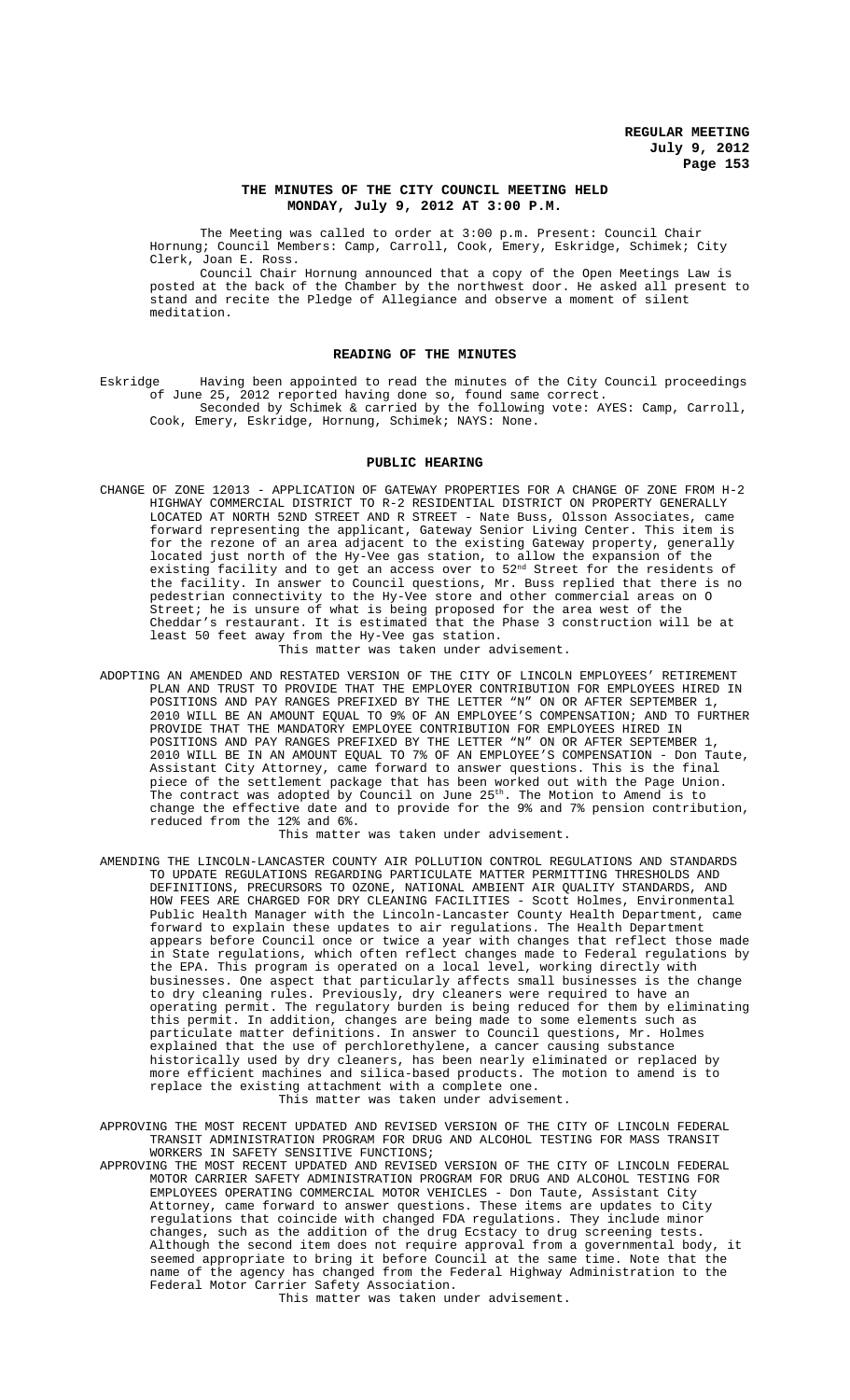# **THE MINUTES OF THE CITY COUNCIL MEETING HELD MONDAY, July 9, 2012 AT 3:00 P.M.**

The Meeting was called to order at 3:00 p.m. Present: Council Chair Hornung; Council Members: Camp, Carroll, Cook, Emery, Eskridge, Schimek; City Clerk, Joan E. Ross.

Council Chair Hornung announced that a copy of the Open Meetings Law is posted at the back of the Chamber by the northwest door. He asked all present to stand and recite the Pledge of Allegiance and observe a moment of silent meditation.

# **READING OF THE MINUTES**

Eskridge Having been appointed to read the minutes of the City Council proceedings of June 25, 2012 reported having done so, found same correct. Seconded by Schimek & carried by the following vote: AYES: Camp, Carroll, Cook, Emery, Eskridge, Hornung, Schimek; NAYS: None.

# **PUBLIC HEARING**

- CHANGE OF ZONE 12013 APPLICATION OF GATEWAY PROPERTIES FOR A CHANGE OF ZONE FROM H-2 HIGHWAY COMMERCIAL DISTRICT TO R-2 RESIDENTIAL DISTRICT ON PROPERTY GENERALLY LOCATED AT NORTH 52ND STREET AND R STREET - Nate Buss, Olsson Associates, came forward representing the applicant, Gateway Senior Living Center. This item is for the rezone of an area adjacent to the existing Gateway property, generally located just north of the Hy-Vee gas station, to allow the expansion of the existing facility and to get an access over to 52<sup>nd</sup> Street for the residents of the facility. In answer to Council questions, Mr. Buss replied that there is no pedestrian connectivity to the Hy-Vee store and other commercial areas on O Street; he is unsure of what is being proposed for the area west of the Cheddar's restaurant. It is estimated that the Phase 3 construction will be at least 50 feet away from the Hy-Vee gas station. This matter was taken under advisement.
- ADOPTING AN AMENDED AND RESTATED VERSION OF THE CITY OF LINCOLN EMPLOYEES' RETIREMENT PLAN AND TRUST TO PROVIDE THAT THE EMPLOYER CONTRIBUTION FOR EMPLOYEES HIRED IN POSITIONS AND PAY RANGES PREFIXED BY THE LETTER "N" ON OR AFTER SEPTEMBER 1, 2010 WILL BE AN AMOUNT EQUAL TO 9% OF AN EMPLOYEE'S COMPENSATION; AND TO FURTHER PROVIDE THAT THE MANDATORY EMPLOYEE CONTRIBUTION FOR EMPLOYEES HIRED IN POSITIONS AND PAY RANGES PREFIXED BY THE LETTER "N" ON OR AFTER SEPTEMBER 1, 2010 WILL BE IN AN AMOUNT EQUAL TO 7% OF AN EMPLOYEE'S COMPENSATION - Don Taute, Assistant City Attorney, came forward to answer questions. This is the final piece of the settlement package that has been worked out with the Page Union. The contract was adopted by Council on June  $25^{\text{th}}$ . The Motion to Amend is to change the effective date and to provide for the 9% and 7% pension contribution, reduced from the 12% and 6%.

This matter was taken under advisement.

AMENDING THE LINCOLN-LANCASTER COUNTY AIR POLLUTION CONTROL REGULATIONS AND STANDARDS TO UPDATE REGULATIONS REGARDING PARTICULATE MATTER PERMITTING THRESHOLDS AND DEFINITIONS, PRECURSORS TO OZONE, NATIONAL AMBIENT AIR QUALITY STANDARDS, AND HOW FEES ARE CHARGED FOR DRY CLEANING FACILITIES - Scott Holmes, Environmental Public Health Manager with the Lincoln-Lancaster County Health Department, came forward to explain these updates to air regulations. The Health Department appears before Council once or twice a year with changes that reflect those made in State regulations, which often reflect changes made to Federal regulations by the EPA. This program is operated on a local level, working directly with businesses. One aspect that particularly affects small businesses is the change to dry cleaning rules. Previously, dry cleaners were required to have an operating permit. The regulatory burden is being reduced for them by eliminating this permit. In addition, changes are being made to some elements such as particulate matter definitions. In answer to Council questions, Mr. Holmes explained that the use of perchlorethylene, a cancer causing substance historically used by dry cleaners, has been nearly eliminated or replaced by more efficient machines and silica-based products. The motion to amend is to replace the existing attachment with a complete one. This matter was taken under advisement.

APPROVING THE MOST RECENT UPDATED AND REVISED VERSION OF THE CITY OF LINCOLN FEDERAL TRANSIT ADMINISTRATION PROGRAM FOR DRUG AND ALCOHOL TESTING FOR MASS TRANSIT WORKERS IN SAFETY SENSITIVE FUNCTIONS;

APPROVING THE MOST RECENT UPDATED AND REVISED VERSION OF THE CITY OF LINCOLN FEDERAL MOTOR CARRIER SAFETY ADMINISTRATION PROGRAM FOR DRUG AND ALCOHOL TESTING FOR EMPLOYEES OPERATING COMMERCIAL MOTOR VEHICLES - Don Taute, Assistant City Attorney, came forward to answer questions. These items are updates to City regulations that coincide with changed FDA regulations. They include minor changes, such as the addition of the drug Ecstacy to drug screening tests. Although the second item does not require approval from a governmental body, it seemed appropriate to bring it before Council at the same time. Note that the name of the agency has changed from the Federal Highway Administration to the Federal Motor Carrier Safety Association.

This matter was taken under advisement.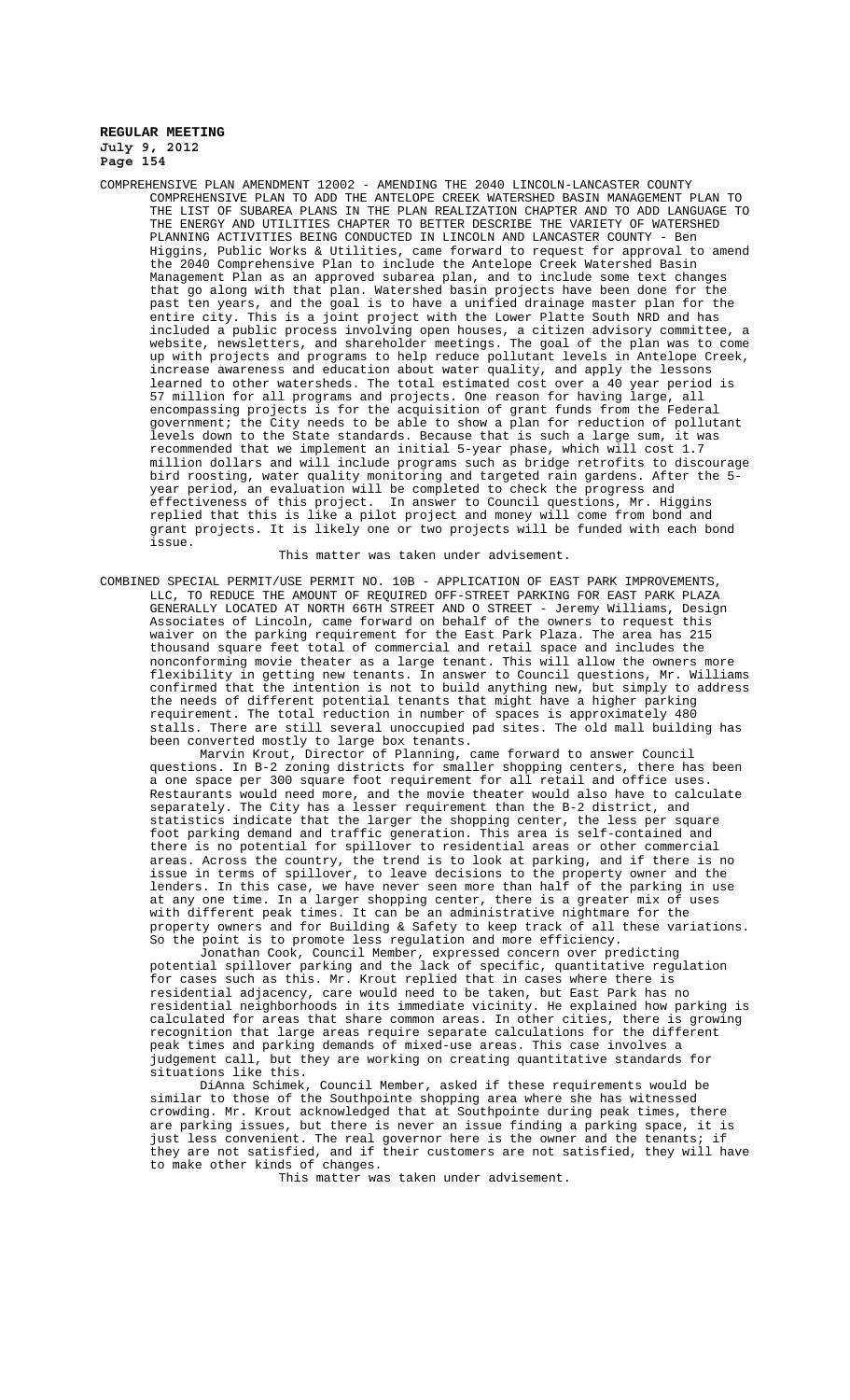COMPREHENSIVE PLAN AMENDMENT 12002 - AMENDING THE 2040 LINCOLN-LANCASTER COUNTY COMPREHENSIVE PLAN TO ADD THE ANTELOPE CREEK WATERSHED BASIN MANAGEMENT PLAN TO THE LIST OF SUBAREA PLANS IN THE PLAN REALIZATION CHAPTER AND TO ADD LANGUAGE TO THE ENERGY AND UTILITIES CHAPTER TO BETTER DESCRIBE THE VARIETY OF WATERSHED PLANNING ACTIVITIES BEING CONDUCTED IN LINCOLN AND LANCASTER COUNTY - Ben Higgins, Public Works & Utilities, came forward to request for approval to amend the 2040 Comprehensive Plan to include the Antelope Creek Watershed Basin Management Plan as an approved subarea plan, and to include some text changes that go along with that plan. Watershed basin projects have been done for the past ten years, and the goal is to have a unified drainage master plan for the .<br>entire city. This is a joint project with the Lower Platte South NRD and has included a public process involving open houses, a citizen advisory committee, a website, newsletters, and shareholder meetings. The goal of the plan was to come up with projects and programs to help reduce pollutant levels in Antelope Creek, increase awareness and education about water quality, and apply the lessons learned to other watersheds. The total estimated cost over a 40 year period is 57 million for all programs and projects. One reason for having large, all encompassing projects is for the acquisition of grant funds from the Federal government; the City needs to be able to show a plan for reduction of pollutant levels down to the State standards. Because that is such a large sum, it was recommended that we implement an initial 5-year phase, which will cost 1.7 million dollars and will include programs such as bridge retrofits to discourage bird roosting, water quality monitoring and targeted rain gardens. After the 5 year period, an evaluation will be completed to check the progress and effectiveness of this project. In answer to Council questions, Mr. Higgins replied that this is like a pilot project and money will come from bond and grant projects. It is likely one or two projects will be funded with each bond issue.

This matter was taken under advisement.

COMBINED SPECIAL PERMIT/USE PERMIT NO. 10B - APPLICATION OF EAST PARK IMPROVEMENTS, LLC, TO REDUCE THE AMOUNT OF REQUIRED OFF-STREET PARKING FOR EAST PARK PLAZA GENERALLY LOCATED AT NORTH 66TH STREET AND O STREET - Jeremy Williams, Design Associates of Lincoln, came forward on behalf of the owners to request this waiver on the parking requirement for the East Park Plaza. The area has 215 thousand square feet total of commercial and retail space and includes the nonconforming movie theater as a large tenant. This will allow the owners more flexibility in getting new tenants. In answer to Council questions, Mr. Williams confirmed that the intention is not to build anything new, but simply to address the needs of different potential tenants that might have a higher parking requirement. The total reduction in number of spaces is approximately 480 stalls. There are still several unoccupied pad sites. The old mall building has been converted mostly to large box tenants.

Marvin Krout, Director of Planning, came forward to answer Council questions. In B-2 zoning districts for smaller shopping centers, there has been a one space per 300 square foot requirement for all retail and office uses. Restaurants would need more, and the movie theater would also have to calculate separately. The City has a lesser requirement than the B-2 district, and statistics indicate that the larger the shopping center, the less per square foot parking demand and traffic generation. This area is self-contained and there is no potential for spillover to residential areas or other commercial areas. Across the country, the trend is to look at parking, and if there is no issue in terms of spillover, to leave decisions to the property owner and the lenders. In this case, we have never seen more than half of the parking in use at any one time. In a larger shopping center, there is a greater mix of uses with different peak times. It can be an administrative nightmare for the property owners and for Building & Safety to keep track of all these variations. So the point is to promote less regulation and more efficiency.

Jonathan Cook, Council Member, expressed concern over predicting potential spillover parking and the lack of specific, quantitative regulation for cases such as this. Mr. Krout replied that in cases where there is residential adjacency, care would need to be taken, but East Park has no residential neighborhoods in its immediate vicinity. He explained how parking is calculated for areas that share common areas. In other cities, there is growing recognition that large areas require separate calculations for the different peak times and parking demands of mixed-use areas. This case involves a judgement call, but they are working on creating quantitative standards for situations like this.

DiAnna Schimek, Council Member, asked if these requirements would be similar to those of the Southpointe shopping area where she has witnessed crowding. Mr. Krout acknowledged that at Southpointe during peak times, there are parking issues, but there is never an issue finding a parking space, it is just less convenient. The real governor here is the owner and the tenants; they are not satisfied, and if their customers are not satisfied, they will have to make other kinds of changes.

This matter was taken under advisement.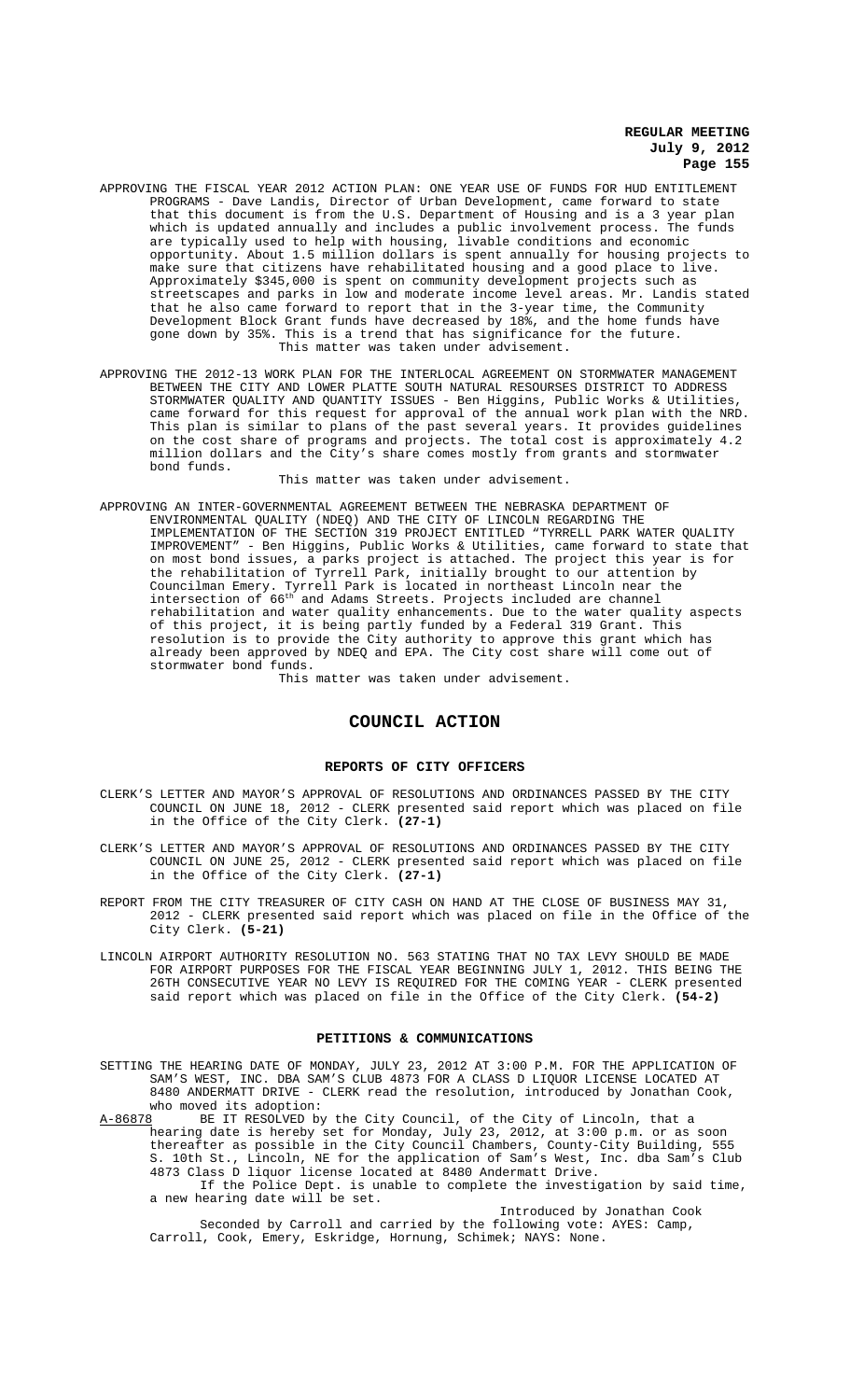- APPROVING THE FISCAL YEAR 2012 ACTION PLAN: ONE YEAR USE OF FUNDS FOR HUD ENTITLEMENT PROGRAMS - Dave Landis, Director of Urban Development, came forward to state that this document is from the U.S. Department of Housing and is a 3 year plan which is updated annually and includes a public involvement process. The funds are typically used to help with housing, livable conditions and economic opportunity. About 1.5 million dollars is spent annually for housing projects to make sure that citizens have rehabilitated housing and a good place to live. Approximately \$345,000 is spent on community development projects such as streetscapes and parks in low and moderate income level areas. Mr. Landis stated that he also came forward to report that in the 3-year time, the Community Development Block Grant funds have decreased by 18%, and the home funds have gone down by 35%. This is a trend that has significance for the future. This matter was taken under advisement.
- APPROVING THE 2012-13 WORK PLAN FOR THE INTERLOCAL AGREEMENT ON STORMWATER MANAGEMENT BETWEEN THE CITY AND LOWER PLATTE SOUTH NATURAL RESOURSES DISTRICT TO ADDRESS STORMWATER QUALITY AND QUANTITY ISSUES - Ben Higgins, Public Works & Utilities, came forward for this request for approval of the annual work plan with the NRD. This plan is similar to plans of the past several years. It provides guidelines on the cost share of programs and projects. The total cost is approximately 4.2 million dollars and the City's share comes mostly from grants and stormwater bond funds.

This matter was taken under advisement.

APPROVING AN INTER-GOVERNMENTAL AGREEMENT BETWEEN THE NEBRASKA DEPARTMENT OF ENVIRONMENTAL QUALITY (NDEQ) AND THE CITY OF LINCOLN REGARDING THE IMPLEMENTATION OF THE SECTION 319 PROJECT ENTITLED "TYRRELL PARK WATER QUALITY IMPROVEMENT" - Ben Higgins, Public Works & Utilities, came forward to state that on most bond issues, a parks project is attached. The project this year is for the rehabilitation of Tyrrell Park, initially brought to our attention by Councilman Emery. Tyrrell Park is located in northeast Lincoln near the intersection of 66th and Adams Streets. Projects included are channel rehabilitation and water quality enhancements. Due to the water quality aspects of this project, it is being partly funded by a Federal 319 Grant. This resolution is to provide the City authority to approve this grant which has already been approved by NDEQ and EPA. The City cost share will come out of stormwater bond funds.

This matter was taken under advisement.

# **COUNCIL ACTION**

#### **REPORTS OF CITY OFFICERS**

- CLERK'S LETTER AND MAYOR'S APPROVAL OF RESOLUTIONS AND ORDINANCES PASSED BY THE CITY COUNCIL ON JUNE 18, 2012 - CLERK presented said report which was placed on file in the Office of the City Clerk. **(27-1)**
- CLERK'S LETTER AND MAYOR'S APPROVAL OF RESOLUTIONS AND ORDINANCES PASSED BY THE CITY COUNCIL ON JUNE 25, 2012 - CLERK presented said report which was placed on file in the Office of the City Clerk. **(27-1)**
- REPORT FROM THE CITY TREASURER OF CITY CASH ON HAND AT THE CLOSE OF BUSINESS MAY 31, 2012 - CLERK presented said report which was placed on file in the Office of the City Clerk. **(5-21)**
- LINCOLN AIRPORT AUTHORITY RESOLUTION NO. 563 STATING THAT NO TAX LEVY SHOULD BE MADE FOR AIRPORT PURPOSES FOR THE FISCAL YEAR BEGINNING JULY 1, 2012. THIS BEING THE 26TH CONSECUTIVE YEAR NO LEVY IS REQUIRED FOR THE COMING YEAR - CLERK presented said report which was placed on file in the Office of the City Clerk. **(54-2)**

#### **PETITIONS & COMMUNICATIONS**

- SETTING THE HEARING DATE OF MONDAY, JULY 23, 2012 AT 3:00 P.M. FOR THE APPLICATION OF SAM'S WEST, INC. DBA SAM'S CLUB 4873 FOR A CLASS D LIQUOR LICENSE LOCATED AT 8480 ANDERMATT DRIVE - CLERK read the resolution, introduced by Jonathan Cook, who moved its adoption:<br>A-86878 BE IT RESOLVED by
- BE IT RESOLVED by the City Council, of the City of Lincoln, that a hearing date is hereby set for Monday, July 23, 2012, at 3:00 p.m. or as soon thereafter as possible in the City Council Chambers, County-City Building, 555 S. 10th St., Lincoln, NE for the application of Sam's West, Inc. dba Sam's Club 4873 Class D liquor license located at 8480 Andermatt Drive.

If the Police Dept. is unable to complete the investigation by said time, a new hearing date will be set.

Introduced by Jonathan Cook Seconded by Carroll and carried by the following vote: AYES: Camp, Carroll, Cook, Emery, Eskridge, Hornung, Schimek; NAYS: None.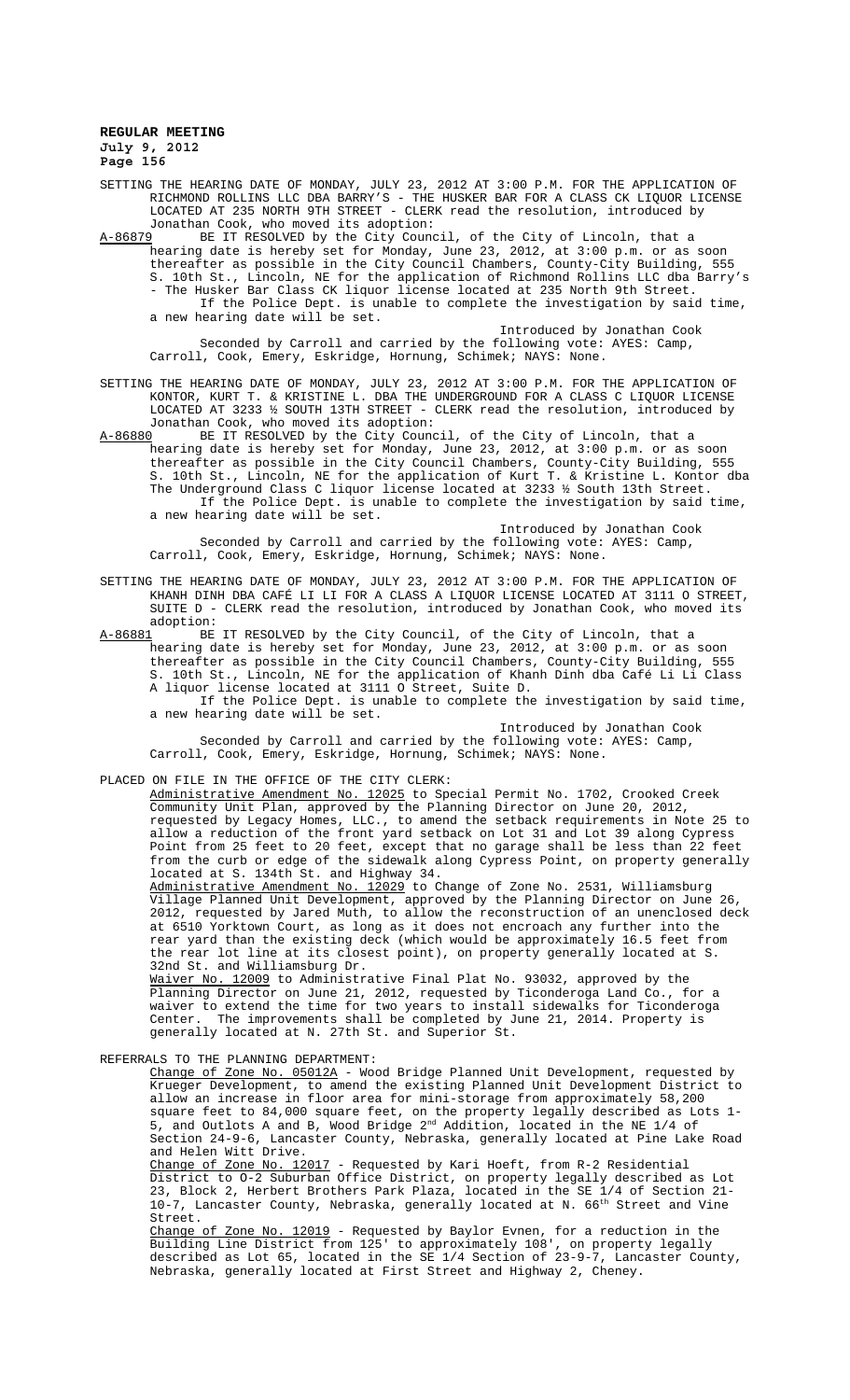SETTING THE HEARING DATE OF MONDAY, JULY 23, 2012 AT 3:00 P.M. FOR THE APPLICATION OF RICHMOND ROLLINS LLC DBA BARRY'S - THE HUSKER BAR FOR A CLASS CK LIQUOR LICENSE LOCATED AT 235 NORTH 9TH STREET - CLERK read the resolution, introduced by Jonathan Cook, who moved its adoption:<br>A-86879 BE IT RESOLVED by the City Counc

BE IT RESOLVED by the City Council, of the City of Lincoln, that a hearing date is hereby set for Monday, June 23, 2012, at 3:00 p.m. or as soon thereafter as possible in the City Council Chambers, County-City Building, 555 S. 10th St., Lincoln, NE for the application of Richmond Rollins LLC dba Barry's - The Husker Bar Class CK liquor license located at 235 North 9th Street. If the Police Dept. is unable to complete the investigation by said time, a new hearing date will be set.

Introduced by Jonathan Cook Seconded by Carroll and carried by the following vote: AYES: Camp, Carroll, Cook, Emery, Eskridge, Hornung, Schimek; NAYS: None.

SETTING THE HEARING DATE OF MONDAY, JULY 23, 2012 AT 3:00 P.M. FOR THE APPLICATION OF KONTOR, KURT T. & KRISTINE L. DBA THE UNDERGROUND FOR A CLASS C LIQUOR LICENSE LOCATED AT 3233 ½ SOUTH 13TH STREET - CLERK read the resolution, introduced by Jonathan Cook, who moved its adoption:<br>A-86880 BE IT RESOLVED by the City Counc

A-86880 BE IT RESOLVED by the City Council, of the City of Lincoln, that a hearing date is hereby set for Monday, June 23, 2012, at 3:00 p.m. or as soon thereafter as possible in the City Council Chambers, County-City Building, 555 S. 10th St., Lincoln, NE for the application of Kurt T. & Kristine L. Kontor dba The Underground Class C liquor license located at 3233 ½ South 13th Street. If the Police Dept. is unable to complete the investigation by said time, a new hearing date will be set.

Introduced by Jonathan Cook Seconded by Carroll and carried by the following vote: AYES: Camp, Carroll, Cook, Emery, Eskridge, Hornung, Schimek; NAYS: None.

SETTING THE HEARING DATE OF MONDAY, JULY 23, 2012 AT 3:00 P.M. FOR THE APPLICATION OF KHANH DINH DBA CAFÉ LI LI FOR A CLASS A LIQUOR LICENSE LOCATED AT 3111 O STREET, SUITE D - CLERK read the resolution, introduced by Jonathan Cook, who moved its adoption:<br>A-86881 BE

BE IT RESOLVED by the City Council, of the City of Lincoln, that a hearing date is hereby set for Monday, June 23, 2012, at 3:00 p.m. or as soon thereafter as possible in the City Council Chambers, County-City Building, 555 S. 10th St., Lincoln, NE for the application of Khanh Dinh dba Café Li Li Class A liquor license located at 3111 O Street, Suite D. If the Police Dept. is unable to complete the investigation by said time,

a new hearing date will be set. Introduced by Jonathan Cook

Seconded by Carroll and carried by the following vote: AYES: Camp, Carroll, Cook, Emery, Eskridge, Hornung, Schimek; NAYS: None.

PLACED ON FILE IN THE OFFICE OF THE CITY CLERK:

Administrative Amendment No. 12025 to Special Permit No. 1702, Crooked Creek Community Unit Plan, approved by the Planning Director on June 20, 2012, requested by Legacy Homes, LLC., to amend the setback requirements allow a reduction of the front yard setback on Lot 31 and Lot 39 along Cypress Point from 25 feet to 20 feet, except that no garage shall be less than 22 feet from the curb or edge of the sidewalk along Cypress Point, on property generally located at S. 134th St. and Highway 34.

Administrative Amendment No. 12029 to Change of Zone No. 2531, Williamsburg Village Planned Unit Development, approved by the Planning Director on June 26, requested by Jared Muth, to allow the reconstruction of an unenclosed deck at 6510 Yorktown Court, as long as it does not encroach any further into the rear yard than the existing deck (which would be approximately 16.5 feet from the rear lot line at its closest point), on property generally located at S. 32nd St. and Williamsburg Dr.

Waiver No. 12009 to Administrative Final Plat No. 93032, approved by the Planning Director on June 21, 2012, requested by Ticonderoga Land Co., for a waiver to extend the time for two years to install sidewalks for Ticonderoga Center. The improvements shall be completed by June 21, 2014. Property is generally located at N. 27th St. and Superior St.

REFERRALS TO THE PLANNING DEPARTMENT:

Change of Zone No. 05012A - Wood Bridge Planned Unit Development, requested by Krueger Development, to amend the existing Planned Unit Development District to allow an increase in floor area for mini-storage from approximately 58,200 square feet to 84,000 square feet, on the property legally described as Lots 1- 5, and Outlots A and B, Wood Bridge  $2<sup>nd</sup>$  Addition, located in the NE 1/4 of Section 24-9-6, Lancaster County, Nebraska, generally located at Pine Lake Road and Helen Witt Drive.

Change of Zone No. 12017 - Requested by Kari Hoeft, from R-2 Residential District to O-2 Suburban Office District, on property legally described as Lot 23, Block 2, Herbert Brothers Park Plaza, located in the SE 1/4 of Section 21- 10-7, Lancaster County, Nebraska, generally located at N. 66<sup>th</sup> Street and Vine Street.

Change of Zone No. 12019 - Requested by Baylor Evnen, for a reduction in the Building Line District from 125' to approximately 108', on property legally described as Lot 65, located in the SE 1/4 Section of 23-9-7, Lancaster County, Nebraska, generally located at First Street and Highway 2, Cheney.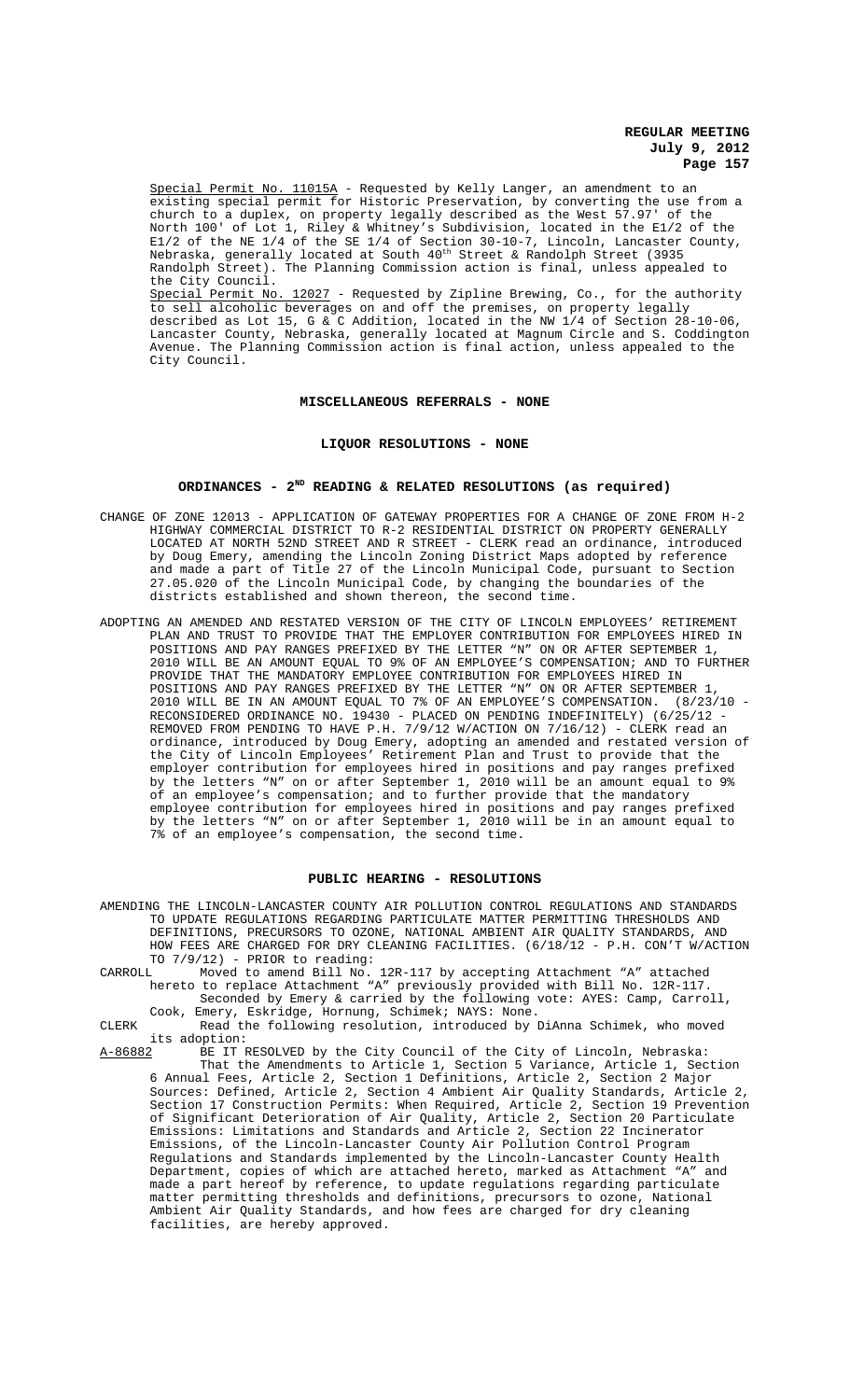Special Permit No. 11015A - Requested by Kelly Langer, an amendment to an existing special permit for Historic Preservation, by converting the use from a church to a duplex, on property legally described as the West 57.97' of the North 100' of Lot 1, Riley & Whitney's Subdivision, located in the E1/2 of the E1/2 of the NE 1/4 of the SE 1/4 of Section 30-10-7, Lincoln, Lancaster County, Nebraska, generally located at South  $40^{\rm th}$  Street & Randolph Street (3935 Randolph Street). The Planning Commission action is final, unless appealed to the City Council. Special Permit No. 12027 - Requested by Zipline Brewing, Co., for the authority to sell alcoholic beverages on and off the premises, on property legally described as Lot 15, G & C Addition, located in the NW 1/4 of Section 28-10-06, Lancaster County, Nebraska, generally located at Magnum Circle and S. Coddington Avenue. The Planning Commission action is final action, unless appealed to the City Council.

# **MISCELLANEOUS REFERRALS - NONE**

#### **LIQUOR RESOLUTIONS - NONE**

#### **ORDINANCES - 2ND READING & RELATED RESOLUTIONS (as required)**

- CHANGE OF ZONE 12013 APPLICATION OF GATEWAY PROPERTIES FOR A CHANGE OF ZONE FROM H-2 HIGHWAY COMMERCIAL DISTRICT TO R-2 RESIDENTIAL DISTRICT ON PROPERTY GENERALLY LOCATED AT NORTH 52ND STREET AND R STREET - CLERK read an ordinance, introduced by Doug Emery, amending the Lincoln Zoning District Maps adopted by reference and made a part of Title 27 of the Lincoln Municipal Code, pursuant to Section 27.05.020 of the Lincoln Municipal Code, by changing the boundaries of the districts established and shown thereon, the second time.
- ADOPTING AN AMENDED AND RESTATED VERSION OF THE CITY OF LINCOLN EMPLOYEES' RETIREMENT PLAN AND TRUST TO PROVIDE THAT THE EMPLOYER CONTRIBUTION FOR EMPLOYEES HIRED IN POSITIONS AND PAY RANGES PREFIXED BY THE LETTER "N" ON OR AFTER SEPTEMBER 1, 2010 WILL BE AN AMOUNT EQUAL TO 9% OF AN EMPLOYEE'S COMPENSATION; AND TO FURTHER PROVIDE THAT THE MANDATORY EMPLOYEE CONTRIBUTION FOR EMPLOYEES HIRED IN POSITIONS AND PAY RANGES PREFIXED BY THE LETTER "N" ON OR AFTER SEPTEMBER 1, 2010 WILL BE IN AN AMOUNT EQUAL TO 7% OF AN EMPLOYEE'S COMPENSATION. (8/23/10 - RECONSIDERED ORDINANCE NO. 19430 - PLACED ON PENDING INDEFINITELY) (6/25/12 - REMOVED FROM PENDING TO HAVE P.H. 7/9/12 W/ACTION ON 7/16/12) - CLERK read an ordinance, introduced by Doug Emery, adopting an amended and restated version of the City of Lincoln Employees' Retirement Plan and Trust to provide that the employer contribution for employees hired in positions and pay ranges prefixed by the letters "N" on or after September 1, 2010 will be an amount equal to 9% of an employee's compensation; and to further provide that the mandatory employee contribution for employees hired in positions and pay ranges prefixed by the letters "N" on or after September 1, 2010 will be in an amount equal to 7% of an employee's compensation, the second time.

### **PUBLIC HEARING - RESOLUTIONS**

- AMENDING THE LINCOLN-LANCASTER COUNTY AIR POLLUTION CONTROL REGULATIONS AND STANDARDS TO UPDATE REGULATIONS REGARDING PARTICULATE MATTER PERMITTING THRESHOLDS AND DEFINITIONS, PRECURSORS TO OZONE, NATIONAL AMBIENT AIR QUALITY STANDARDS, AND HOW FEES ARE CHARGED FOR DRY CLEANING FACILITIES. (6/18/12 - P.H. CON'T W/ACTION TO 7/9/12) - PRIOR to reading:
- CARROLL Moved to amend Bill No. 12R-117 by accepting Attachment "A" attached hereto to replace Attachment "A" previously provided with Bill No. 12R-117. Seconded by Emery & carried by the following vote: AYES: Camp, Carroll, Cook, Emery, Eskridge, Hornung, Schimek; NAYS: None.

CLERK Read the following resolution, introduced by DiAnna Schimek, who moved

its adoption:<br><u>A-86882</u> BE IT F BE IT RESOLVED by the City Council of the City of Lincoln, Nebraska: That the Amendments to Article 1, Section 5 Variance, Article 1, Section 6 Annual Fees, Article 2, Section 1 Definitions, Article 2, Section 2 Major Sources: Defined, Article 2, Section 4 Ambient Air Quality Standards, Article 2, Section 17 Construction Permits: When Required, Article 2, Section 19 Prevention of Significant Deterioration of Air Quality, Article 2, Section 20 Particulate Emissions: Limitations and Standards and Article 2, Section 22 Incinerator Emissions, of the Lincoln-Lancaster County Air Pollution Control Program Regulations and Standards implemented by the Lincoln-Lancaster County Health Department, copies of which are attached hereto, marked as Attachment "A" and made a part hereof by reference, to update regulations regarding particulate matter permitting thresholds and definitions, precursors to ozone, National Ambient Air Quality Standards, and how fees are charged for dry cleaning facilities, are hereby approved.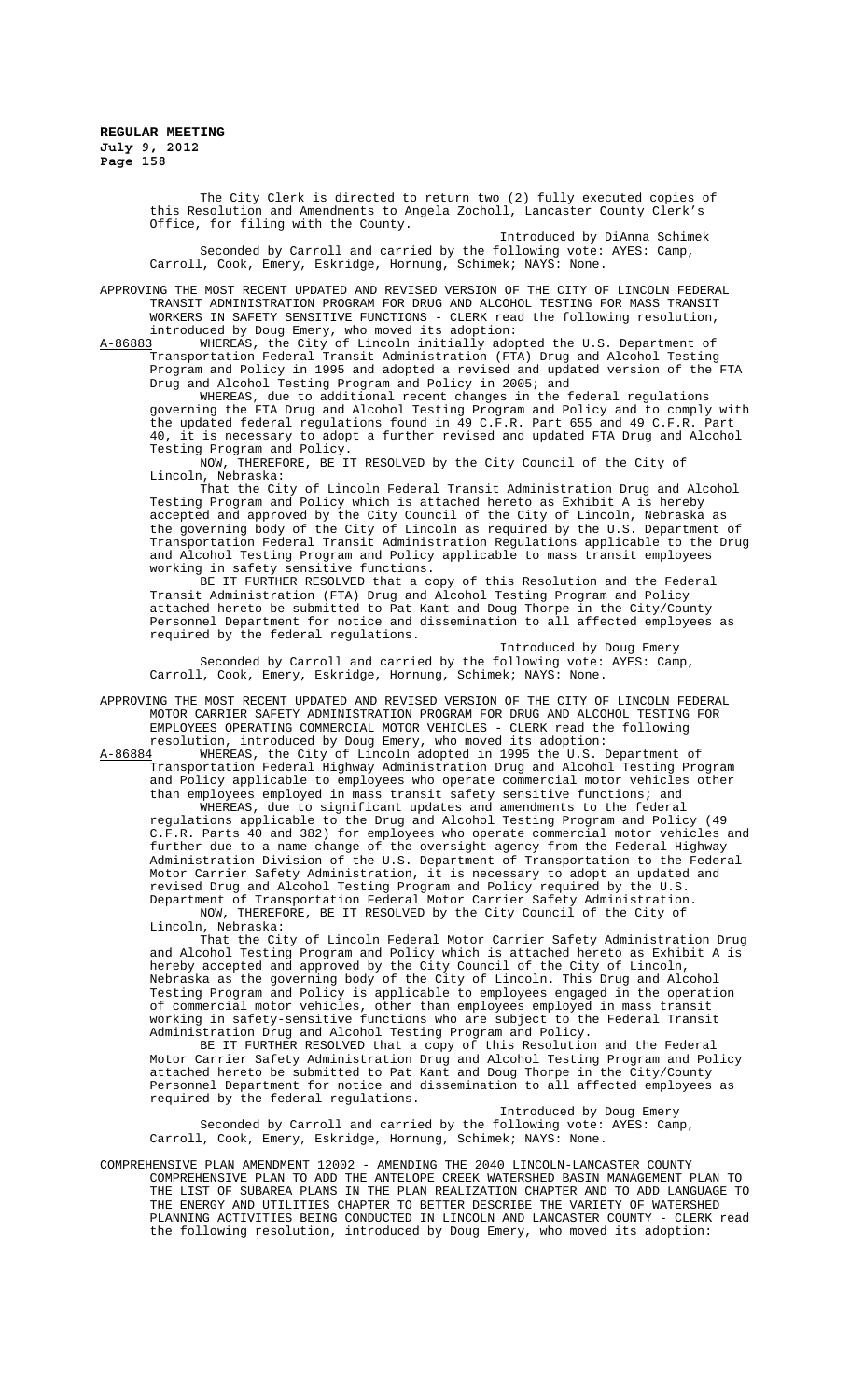> The City Clerk is directed to return two (2) fully executed copies of this Resolution and Amendments to Angela Zocholl, Lancaster County Clerk's Office, for filing with the County.

Introduced by DiAnna Schimek Seconded by Carroll and carried by the following vote: AYES: Camp, Carroll, Cook, Emery, Eskridge, Hornung, Schimek; NAYS: None.

APPROVING THE MOST RECENT UPDATED AND REVISED VERSION OF THE CITY OF LINCOLN FEDERAL TRANSIT ADMINISTRATION PROGRAM FOR DRUG AND ALCOHOL TESTING FOR MASS TRANSIT WORKERS IN SAFETY SENSITIVE FUNCTIONS - CLERK read the following resolution,

introduced by Doug Emery, who moved its adoption:<br>A-86883 WHEREAS, the City of Lincoln initially adopt A-86883 WHEREAS, the City of Lincoln initially adopted the U.S. Department of Transportation Federal Transit Administration (FTA) Drug and Alcohol Testing Program and Policy in 1995 and adopted a revised and updated version of the FTA Drug and Alcohol Testing Program and Policy in 2005; and

WHEREAS, due to additional recent changes in the federal regulations governing the FTA Drug and Alcohol Testing Program and Policy and to comply with the updated federal regulations found in 49 C.F.R. Part 655 and 49 C.F.R. Part 40, it is necessary to adopt a further revised and updated FTA Drug and Alcohol Testing Program and Policy.

NOW, THEREFORE, BE IT RESOLVED by the City Council of the City of Lincoln, Nebraska:

That the City of Lincoln Federal Transit Administration Drug and Alcohol Testing Program and Policy which is attached hereto as Exhibit A is hereby accepted and approved by the City Council of the City of Lincoln, Nebraska as the governing body of the City of Lincoln as required by the U.S. Department of Transportation Federal Transit Administration Regulations applicable to the Drug and Alcohol Testing Program and Policy applicable to mass transit employees working in safety sensitive functions.

BE IT FURTHER RESOLVED that a copy of this Resolution and the Federal Transit Administration (FTA) Drug and Alcohol Testing Program and Policy attached hereto be submitted to Pat Kant and Doug Thorpe in the City/County Personnel Department for notice and dissemination to all affected employees as required by the federal regulations.

Introduced by Doug Emery Seconded by Carroll and carried by the following vote: AYES: Camp, Carroll, Cook, Emery, Eskridge, Hornung, Schimek; NAYS: None.

APPROVING THE MOST RECENT UPDATED AND REVISED VERSION OF THE CITY OF LINCOLN FEDERAL MOTOR CARRIER SAFETY ADMINISTRATION PROGRAM FOR DRUG AND ALCOHOL TESTING FOR EMPLOYEES OPERATING COMMERCIAL MOTOR VEHICLES - CLERK read the following

resolution, introduced by Doug Emery, who moved its adoption:<br>A-86884 WHEREAS, the City of Lincoln adopted in 1995 the U.S. I WHEREAS, the City of Lincoln adopted in 1995 the U.S. Department of Transportation Federal Highway Administration Drug and Alcohol Testing Program and Policy applicable to employees who operate commercial motor vehicles other than employees employed in mass transit safety sensitive functions; and

WHEREAS, due to significant updates and amendments to the federal regulations applicable to the Drug and Alcohol Testing Program and Policy (49 C.F.R. Parts 40 and 382) for employees who operate commercial motor vehicles and further due to a name change of the oversight agency from the Federal Highway Administration Division of the U.S. Department of Transportation to the Federal Motor Carrier Safety Administration, it is necessary to adopt an updated and revised Drug and Alcohol Testing Program and Policy required by the U.S. Department of Transportation Federal Motor Carrier Safety Administration.

NOW, THEREFORE, BE IT RESOLVED by the City Council of the City of Lincoln, Nebraska:

That the City of Lincoln Federal Motor Carrier Safety Administration Drug and Alcohol Testing Program and Policy which is attached hereto as Exhibit A is hereby accepted and approved by the City Council of the City of Lincoln, Nebraska as the governing body of the City of Lincoln. This Drug and Alcohol Testing Program and Policy is applicable to employees engaged in the operation of commercial motor vehicles, other than employees employed in mass transit working in safety-sensitive functions who are subject to the Federal Transit Administration Drug and Alcohol Testing Program and Policy.

BE IT FURTHER RESOLVED that a copy of this Resolution and the Federal Motor Carrier Safety Administration Drug and Alcohol Testing Program and Policy attached hereto be submitted to Pat Kant and Doug Thorpe in the City/County Personnel Department for notice and dissemination to all affected employees as required by the federal regulations.

Introduced by Doug Emery Seconded by Carroll and carried by the following vote: AYES: Camp, Carroll, Cook, Emery, Eskridge, Hornung, Schimek; NAYS: None.

COMPREHENSIVE PLAN AMENDMENT 12002 - AMENDING THE 2040 LINCOLN-LANCASTER COUNTY COMPREHENSIVE PLAN TO ADD THE ANTELOPE CREEK WATERSHED BASIN MANAGEMENT PLAN TO THE LIST OF SUBAREA PLANS IN THE PLAN REALIZATION CHAPTER AND TO ADD LANGUAGE TO THE ENERGY AND UTILITIES CHAPTER TO BETTER DESCRIBE THE VARIETY OF WATERSHED PLANNING ACTIVITIES BEING CONDUCTED IN LINCOLN AND LANCASTER COUNTY - CLERK read the following resolution, introduced by Doug Emery, who moved its adoption: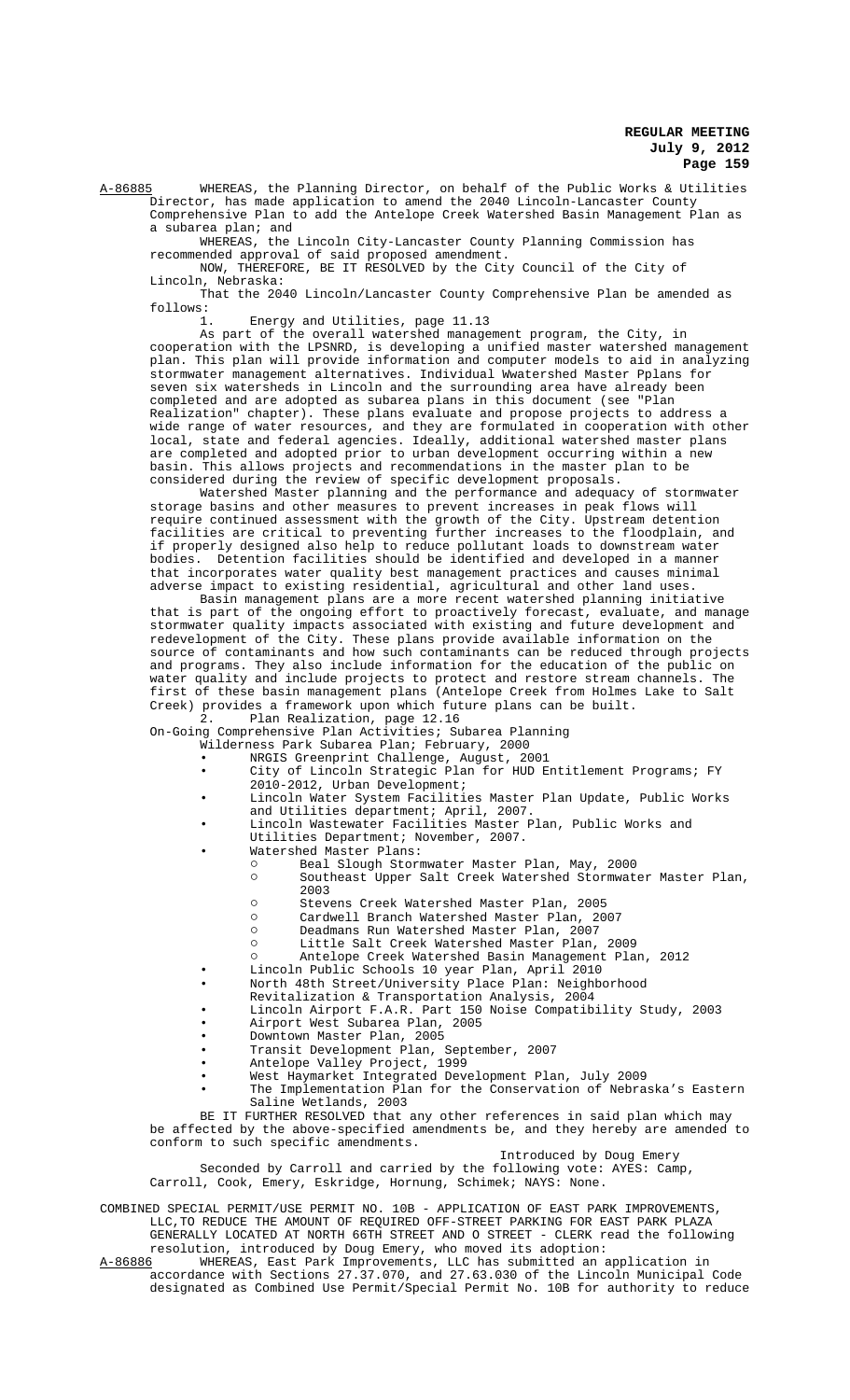A-86885 WHEREAS, the Planning Director, on behalf of the Public Works & Utilities Director, has made application to amend the 2040 Lincoln-Lancaster County Comprehensive Plan to add the Antelope Creek Watershed Basin Management Plan as a subarea plan; and

WHEREAS, the Lincoln City-Lancaster County Planning Commission has recommended approval of said proposed amendment.

NOW, THEREFORE, BE IT RESOLVED by the City Council of the City of Lincoln, Nebraska:

That the 2040 Lincoln/Lancaster County Comprehensive Plan be amended as follows:

Energy and Utilities, page 11.13

As part of the overall watershed management program, the City, in cooperation with the LPSNRD, is developing a unified master watershed management plan. This plan will provide information and computer models to aid in analyzing stormwater management alternatives. Individual Wwatershed Master Pplans for seven six watersheds in Lincoln and the surrounding area have already been completed and are adopted as subarea plans in this document (see "Plan Realization" chapter). These plans evaluate and propose projects to address a wide range of water resources, and they are formulated in cooperation with other local, state and federal agencies. Ideally, additional watershed master plans are completed and adopted prior to urban development occurring within a new basin. This allows projects and recommendations in the master plan to be considered during the review of specific development proposals.

Watershed Master planning and the performance and adequacy of stormwater storage basins and other measures to prevent increases in peak flows will require continued assessment with the growth of the City. Upstream detention facilities are critical to preventing further increases to the floodplain, and if properly designed also help to reduce pollutant loads to downstream water bodies. Detention facilities should be identified and developed in a manner that incorporates water quality best management practices and causes minimal adverse impact to existing residential, agricultural and other land uses.

Basin management plans are a more recent watershed planning initiative that is part of the ongoing effort to proactively forecast, evaluate, and manage stormwater quality impacts associated with existing and future development and redevelopment of the City. These plans provide available information on the source of contaminants and how such contaminants can be reduced through projects and programs. They also include information for the education of the public on water quality and include projects to protect and restore stream channels. The first of these basin management plans (Antelope Creek from Holmes Lake to Salt Creek) provides a framework upon which future plans can be built.

2. Plan Realization, page 12.16 On-Going Comprehensive Plan Activities; Subarea Planning

Wilderness Park Subarea Plan; February, 2000

- NRGIS Greenprint Challenge, August, 2001
- City of Lincoln Strategic Plan for HUD Entitlement Programs; FY
- 2010-2012, Urban Development;
- Lincoln Water System Facilities Master Plan Update, Public Works
- and Utilities department; April, 2007. • Lincoln Wastewater Facilities Master Plan, Public Works and
- Utilities Department; November, 2007.
	- Watershed Master Plans:<br>O Beal Slough Storm
		- O Beal Slough Stormwater Master Plan, May, 2000<br>O Southeast Upper Salt Creek Watershed Stormwate
		- Southeast Upper Salt Creek Watershed Stormwater Master Plan, 2003
		- O Stevens Creek Watershed Master Plan, 2005<br>O Cardwell Branch Watershed Master Plan, 20
		- O Cardwell Branch Watershed Master Plan, 2007<br>O Deadmans Run Watershed Master Plan, 2007
		- 0 Deadmans Run Watershed Master Plan, 2007
		- 0 Little Salt Creek Watershed Master Plan, 2009 0 Antelope Creek Watershed Basin Management Plan, 2012
	-
- Lincoln Public Schools 10 year Plan, April 2010<br>• North 48th Street/University Place Plan: Neighbo • North 48th Street/University Place Plan: Neighborhood
	- Revitalization & Transportation Analysis, 2004
- Lincoln Airport F.A.R. Part 150 Noise Compatibility Study, 2003 • Airport West Subarea Plan, 2005
- Downtown Master Plan, 2005
- Transit Development Plan, September, 2007
- Antelope Valley Project, 1999
	- West Haymarket Integrated Development Plan, July 2009
- The Implementation Plan for the Conservation of Nebraska's Eastern Saline Wetlands, 2003

BE IT FURTHER RESOLVED that any other references in said plan which may be affected by the above-specified amendments be, and they hereby are amended to conform to such specific amendments.

# Introduced by Doug Emery

Seconded by Carroll and carried by the following vote: AYES: Camp,

Carroll, Cook, Emery, Eskridge, Hornung, Schimek; NAYS: None.

COMBINED SPECIAL PERMIT/USE PERMIT NO. 10B - APPLICATION OF EAST PARK IMPROVEMENTS, LLC,TO REDUCE THE AMOUNT OF REQUIRED OFF-STREET PARKING FOR EAST PARK PLAZA GENERALLY LOCATED AT NORTH 66TH STREET AND O STREET - CLERK read the following resolution, introduced by Doug Emery, who moved its adoption:<br>A-86886 WHEREAS, East Park Improvements, LLC has submitted an a

A-86886 WHEREAS, East Park Improvements, LLC has submitted an application in accordance with Sections 27.37.070, and 27.63.030 of the Lincoln Municipal Code designated as Combined Use Permit/Special Permit No. 10B for authority to reduce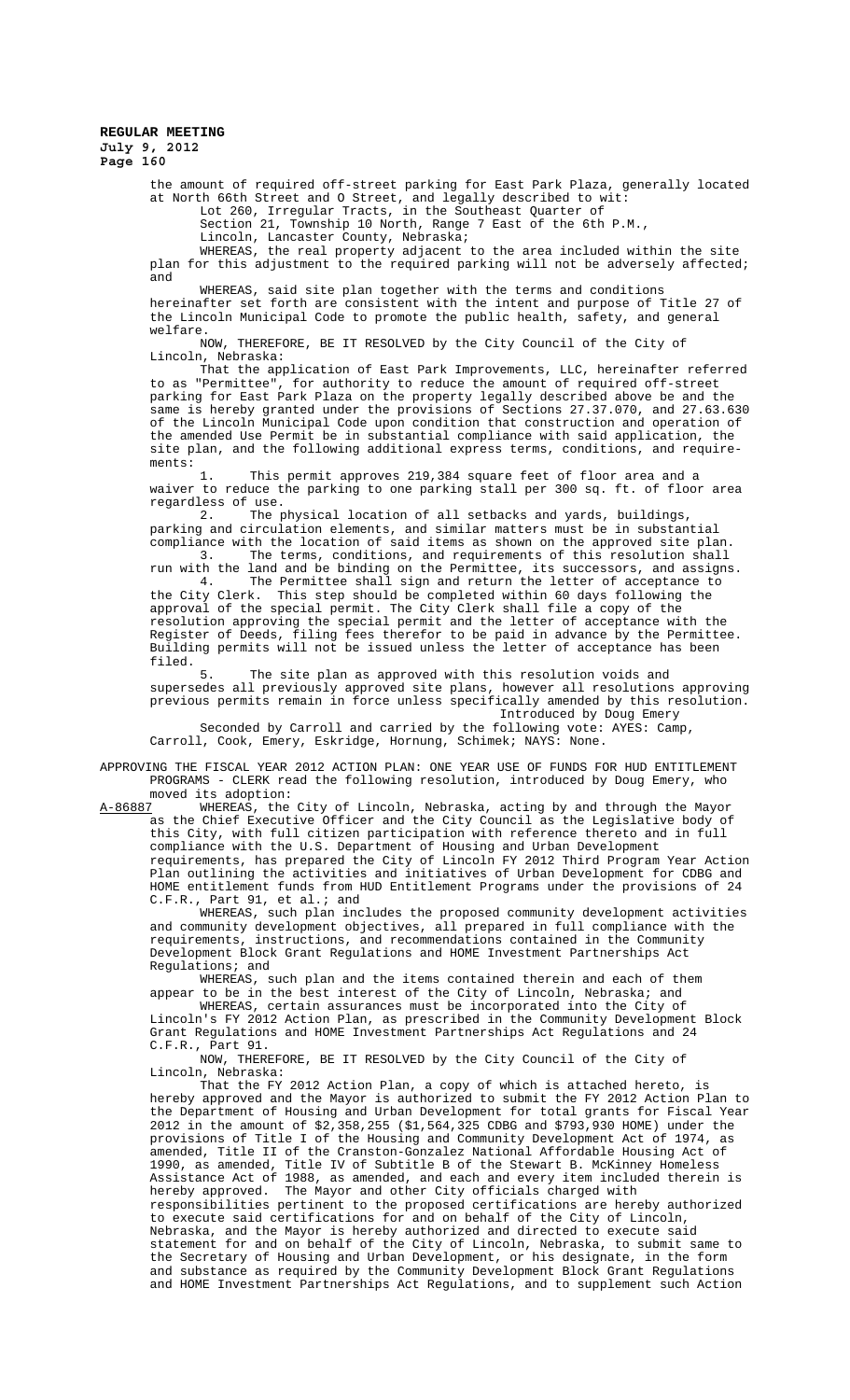the amount of required off-street parking for East Park Plaza, generally located at North 66th Street and O Street, and legally described to wit:

Lot 260, Irregular Tracts, in the Southeast Quarter of Section 21, Township 10 North, Range 7 East of the 6th P.M.,

Lincoln, Lancaster County, Nebraska;

WHEREAS, the real property adjacent to the area included within the site plan for this adjustment to the required parking will not be adversely affected; and

WHEREAS, said site plan together with the terms and conditions hereinafter set forth are consistent with the intent and purpose of Title 27 of the Lincoln Municipal Code to promote the public health, safety, and general welfare.

NOW, THEREFORE, BE IT RESOLVED by the City Council of the City of Lincoln, Nebraska:

That the application of East Park Improvements, LLC, hereinafter referred to as "Permittee", for authority to reduce the amount of required off-street parking for East Park Plaza on the property legally described above be and the same is hereby granted under the provisions of Sections 27.37.070, and 27.63.630 of the Lincoln Municipal Code upon condition that construction and operation of the amended Use Permit be in substantial compliance with said application, the site plan, and the following additional express terms, conditions, and requirements:<br>1.

This permit approves 219,384 square feet of floor area and a waiver to reduce the parking to one parking stall per 300 sq. ft. of floor area regardless of use.

2. The physical location of all setbacks and yards, buildings, parking and circulation elements, and similar matters must be in substantial compliance with the location of said items as shown on the approved site plan. 3. The terms, conditions, and requirements of this resolution shall

run with the land and be binding on the Permittee, its successors, and assigns.<br>4. The Permittee shall sign and return the letter of acceptance to The Permittee shall sign and return the letter of acceptance to the City Clerk. This step should be completed within 60 days following the approval of the special permit. The City Clerk shall file a copy of the resolution approving the special permit and the letter of acceptance with the Register of Deeds, filing fees therefor to be paid in advance by the Permittee. Building permits will not be issued unless the letter of acceptance has been filed.<br>5

The site plan as approved with this resolution voids and supersedes all previously approved site plans, however all resolutions approving previous permits remain in force unless specifically amended by this resolution. Introduced by Doug Emery

Seconded by Carroll and carried by the following vote: AYES: Camp, Carroll, Cook, Emery, Eskridge, Hornung, Schimek; NAYS: None.

APPROVING THE FISCAL YEAR 2012 ACTION PLAN: ONE YEAR USE OF FUNDS FOR HUD ENTITLEMENT PROGRAMS - CLERK read the following resolution, introduced by Doug Emery, who

moved its adoption:<br>A-86887 WHEREAS, the WHEREAS, the City of Lincoln, Nebraska, acting by and through the Mayor<br>e Chief Executive Officer and the City Council as the Legislative body of as the Chief Executive Officer and the City Council as the Legislative body this City, with full citizen participation with reference thereto and in full compliance with the U.S. Department of Housing and Urban Development requirements, has prepared the City of Lincoln FY 2012 Third Program Year Action Plan outlining the activities and initiatives of Urban Development for CDBG and HOME entitlement funds from HUD Entitlement Programs under the provisions of 24 C.F.R., Part 91, et al.; and

WHEREAS, such plan includes the proposed community development activities and community development objectives, all prepared in full compliance with the requirements, instructions, and recommendations contained in the Community Development Block Grant Regulations and HOME Investment Partnerships Act Regulations; and

WHEREAS, such plan and the items contained therein and each of them appear to be in the best interest of the City of Lincoln, Nebraska; and

WHEREAS, certain assurances must be incorporated into the City of Lincoln's FY 2012 Action Plan, as prescribed in the Community Development Block Grant Regulations and HOME Investment Partnerships Act Regulations and 24 C.F.R., Part 91.

NOW, THEREFORE, BE IT RESOLVED by the City Council of the City of Lincoln, Nebraska:

That the FY 2012 Action Plan, a copy of which is attached hereto, is hereby approved and the Mayor is authorized to submit the FY 2012 Action Plan to the Department of Housing and Urban Development for total grants for Fiscal Year 2012 in the amount of \$2,358,255 (\$1,564,325 CDBG and \$793,930 HOME) under the provisions of Title I of the Housing and Community Development Act of 1974, as amended, Title II of the Cranston-Gonzalez National Affordable Housing Act of 1990, as amended, Title IV of Subtitle B of the Stewart B. McKinney Homeless Assistance Act of 1988, as amended, and each and every item included therein is hereby approved. The Mayor and other City officials charged with responsibilities pertinent to the proposed certifications are hereby authorized to execute said certifications for and on behalf of the City of Lincoln, Nebraska, and the Mayor is hereby authorized and directed to execute said statement for and on behalf of the City of Lincoln, Nebraska, to submit same to the Secretary of Housing and Urban Development, or his designate, in the form and substance as required by the Community Development Block Grant Regulations and HOME Investment Partnerships Act Regulations, and to supplement such Action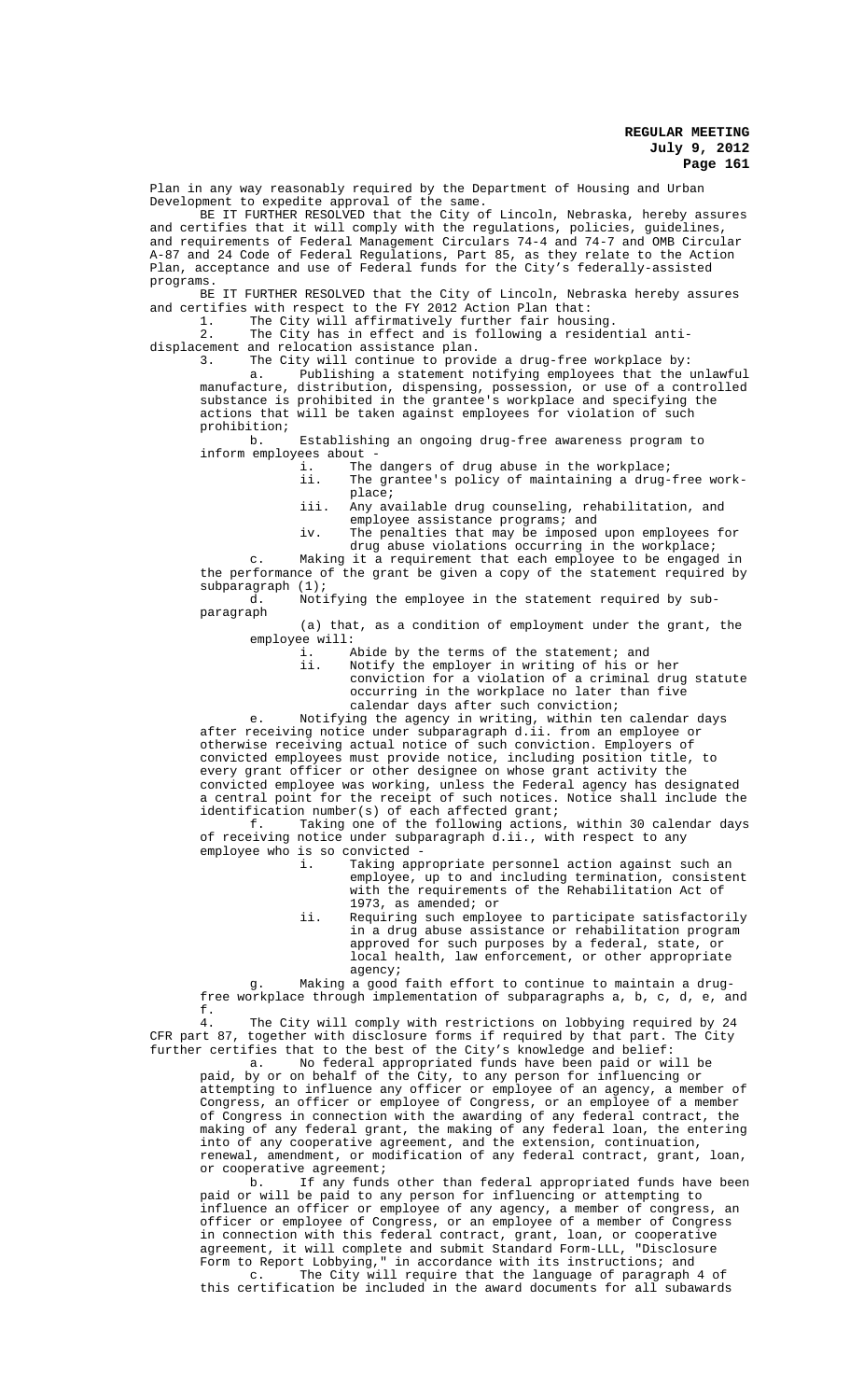Plan in any way reasonably required by the Department of Housing and Urban Development to expedite approval of the same.<br>BE IT FURTHER RESOLVED that the City of

IT FURTHER RESOLVED that the City of Lincoln, Nebraska, hereby assures and certifies that it will comply with the regulations, policies, guidelines, and requirements of Federal Management Circulars 74-4 and 74-7 and OMB Circular A-87 and 24 Code of Federal Regulations, Part 85, as they relate to the Action Plan, acceptance and use of Federal funds for the City's federally-assisted programs.

BE IT FURTHER RESOLVED that the City of Lincoln, Nebraska hereby assures and certifies with respect to the FY 2012 Action Plan that:<br>1. The City will affirmatively further fair hous:

1. The City will affirmatively further fair housing.

2. The City has in effect and is following a residential antidisplacement and relocation assistance plan.

3. The City will continue to provide a drug-free workplace by: a. Publishing a statement notifying employees that the unlawful manufacture, distribution, dispensing, possession, or use of a controlled substance is prohibited in the grantee's workplace and specifying the actions that will be taken against employees for violation of such prohibition;<br>b.

Establishing an ongoing drug-free awareness program to inform employees about -<br>i. The

i. The dangers of drug abuse in the workplace;<br>ii. The grantee's policy of maintaining a drug-

- The grantee's policy of maintaining a drug-free workplace;
- iii. Any available drug counseling, rehabilitation, and employee assistance programs; and
- iv. The penalties that may be imposed upon employees for drug abuse violations occurring in the workplace;

Making it a requirement that each employee to be engaged in the performance of the grant be given a copy of the statement required by subparagraph (1);

d. Notifying the employee in the statement required by subparagraph

(a) that, as a condition of employment under the grant, the employee will:<br>i. F

i. Abide by the terms of the statement; and<br>ii Notify the employer in writing of his or

Notify the employer in writing of his or her conviction for a violation of a criminal drug statute occurring in the workplace no later than five calendar days after such conviction;

e. Notifying the agency in writing, within ten calendar days after receiving notice under subparagraph d.ii. from an employee or otherwise receiving actual notice of such conviction. Employers of convicted employees must provide notice, including position title, to every grant officer or other designee on whose grant activity the convicted employee was working, unless the Federal agency has designated a central point for the receipt of such notices. Notice shall include the identification number(s) of each affected grant;<br>f Taking one of the following actions

Taking one of the following actions, within 30 calendar days of receiving notice under subparagraph d.ii., with respect to any employee who is so convicted -

- i. Taking appropriate personnel action against such an employee, up to and including termination, consistent with the requirements of the Rehabilitation Act of 1973, as amended; or
- ii. Requiring such employee to participate satisfactorily in a drug abuse assistance or rehabilitation program approved for such purposes by a federal, state, or local health, law enforcement, or other appropriate agency;

g. Making a good faith effort to continue to maintain a drugfree workplace through implementation of subparagraphs a, b, c, d, e, and f.

4. The City will comply with restrictions on lobbying required by 24 CFR part 87, together with disclosure forms if required by that part. The City further certifies that to the best of the City's knowledge and belief: a. No federal appropriated funds have been paid or will be

paid, by or on behalf of the City, to any person for influencing or attempting to influence any officer or employee of an agency, a member of Congress, an officer or employee of Congress, or an employee of a member of Congress in connection with the awarding of any federal contract, the making of any federal grant, the making of any federal loan, the entering into of any cooperative agreement, and the extension, continuation, renewal, amendment, or modification of any federal contract, grant, loan, or cooperative agreement;

b. If any funds other than federal appropriated funds have been paid or will be paid to any person for influencing or attempting to influence an officer or employee of any agency, a member of congress, an officer or employee of Congress, or an employee of a member of Congress in connection with this federal contract, grant, loan, or cooperative agreement, it will complete and submit Standard Form-LLL, "Disclosure Form to Report Lobbying," in accordance with its instructions; and

c. The City will require that the language of paragraph 4 of this certification be included in the award documents for all subawards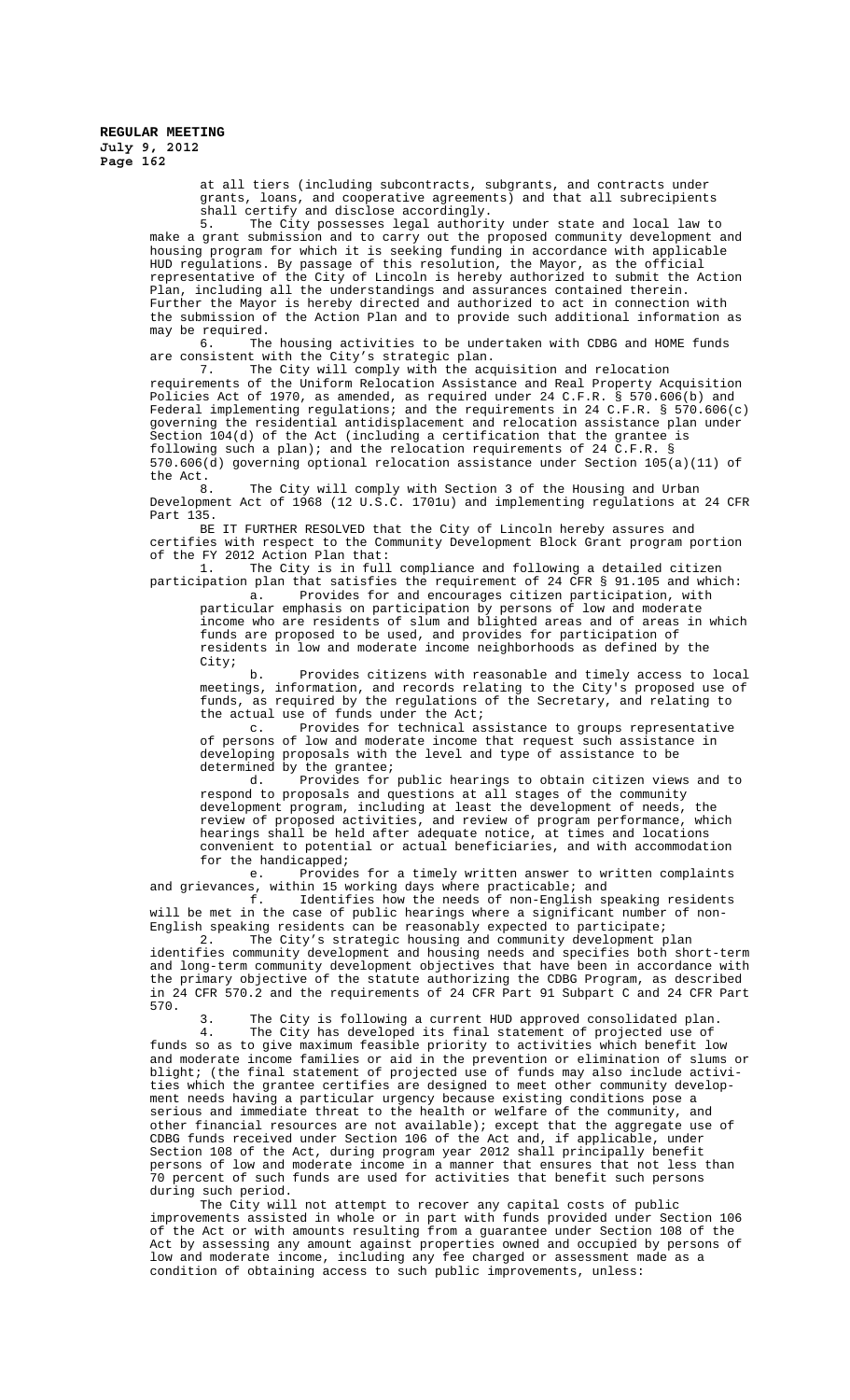> at all tiers (including subcontracts, subgrants, and contracts under grants, loans, and cooperative agreements) and that all subrecipients shall certify and disclose accordingly.

5. The City possesses legal authority under state and local law to make a grant submission and to carry out the proposed community development and housing program for which it is seeking funding in accordance with applicable HUD regulations. By passage of this resolution, the Mayor, as the official representative of the City of Lincoln is hereby authorized to submit the Action Plan, including all the understandings and assurances contained therein. Further the Mayor is hereby directed and authorized to act in connection with the submission of the Action Plan and to provide such additional information as may be required.

6. The housing activities to be undertaken with CDBG and HOME funds are consistent with the City's strategic plan.

7. The City will comply with the acquisition and relocation requirements of the Uniform Relocation Assistance and Real Property Acquisition Policies Act of 1970, as amended, as required under 24 C.F.R. § 570.606(b) and Federal implementing regulations; and the requirements in 24 C.F.R. § 570.606(c) governing the residential antidisplacement and relocation assistance plan under Section 104(d) of the Act (including a certification that the grantee is following such a plan); and the relocation requirements of 24 C.F.R. § 570.606(d) governing optional relocation assistance under Section 105(a)(11) of the Act.

8. The City will comply with Section 3 of the Housing and Urban Development Act of 1968 (12 U.S.C. 1701u) and implementing regulations at 24 CFR Part 135.

BE IT FURTHER RESOLVED that the City of Lincoln hereby assures and certifies with respect to the Community Development Block Grant program portion of the FY 2012 Action Plan that:<br>1. The City is in full

The City is in full compliance and following a detailed citizen participation plan that satisfies the requirement of 24 CFR § 91.105 and which:

a. Provides for and encourages citizen participation, with particular emphasis on participation by persons of low and moderate income who are residents of slum and blighted areas and of areas in which funds are proposed to be used, and provides for participation of residents in low and moderate income neighborhoods as defined by the City;

b. Provides citizens with reasonable and timely access to local meetings, information, and records relating to the City's proposed use of funds, as required by the regulations of the Secretary, and relating to the actual use of funds under the Act;

c. Provides for technical assistance to groups representative of persons of low and moderate income that request such assistance in developing proposals with the level and type of assistance to be determined by the grantee;

d. Provides for public hearings to obtain citizen views and to respond to proposals and questions at all stages of the community development program, including at least the development of needs, the<br>review of proposed activities, and review of program performance, which review of proposed activities, and review of program performance, hearings shall be held after adequate notice, at times and locations convenient to potential or actual beneficiaries, and with accommodation for the handicapped;

e. Provides for a timely written answer to written complaints and grievances, within 15 working days where practicable; and<br>f. Identifies how the needs of non-English sp

Identifies how the needs of non-English speaking residents will be met in the case of public hearings where a significant number of non-English speaking residents can be reasonably expected to participate;

2. The City's strategic housing and community development plan identifies community development and housing needs and specifies both short-term and long-term community development objectives that have been in accordance with the primary objective of the statute authorizing the CDBG Program, as described in 24 CFR 570.2 and the requirements of 24 CFR Part 91 Subpart C and 24 CFR Part 570.

3. The City is following a current HUD approved consolidated plan.

4. The City has developed its final statement of projected use of funds so as to give maximum feasible priority to activities which benefit low and moderate income families or aid in the prevention or elimination of slums or blight; (the final statement of projected use of funds may also include activities which the grantee certifies are designed to meet other community development needs having a particular urgency because existing conditions pose a serious and immediate threat to the health or welfare of the community, and other financial resources are not available); except that the aggregate use of CDBG funds received under Section 106 of the Act and, if applicable, under Section 108 of the Act, during program year 2012 shall principally benefit persons of low and moderate income in a manner that ensures that not less than 70 percent of such funds are used for activities that benefit such persons during such period.

The City will not attempt to recover any capital costs of public improvements assisted in whole or in part with funds provided under Section 106 of the Act or with amounts resulting from a guarantee under Section 108 of the Act by assessing any amount against properties owned and occupied by persons of low and moderate income, including any fee charged or assessment made as a condition of obtaining access to such public improvements, unless: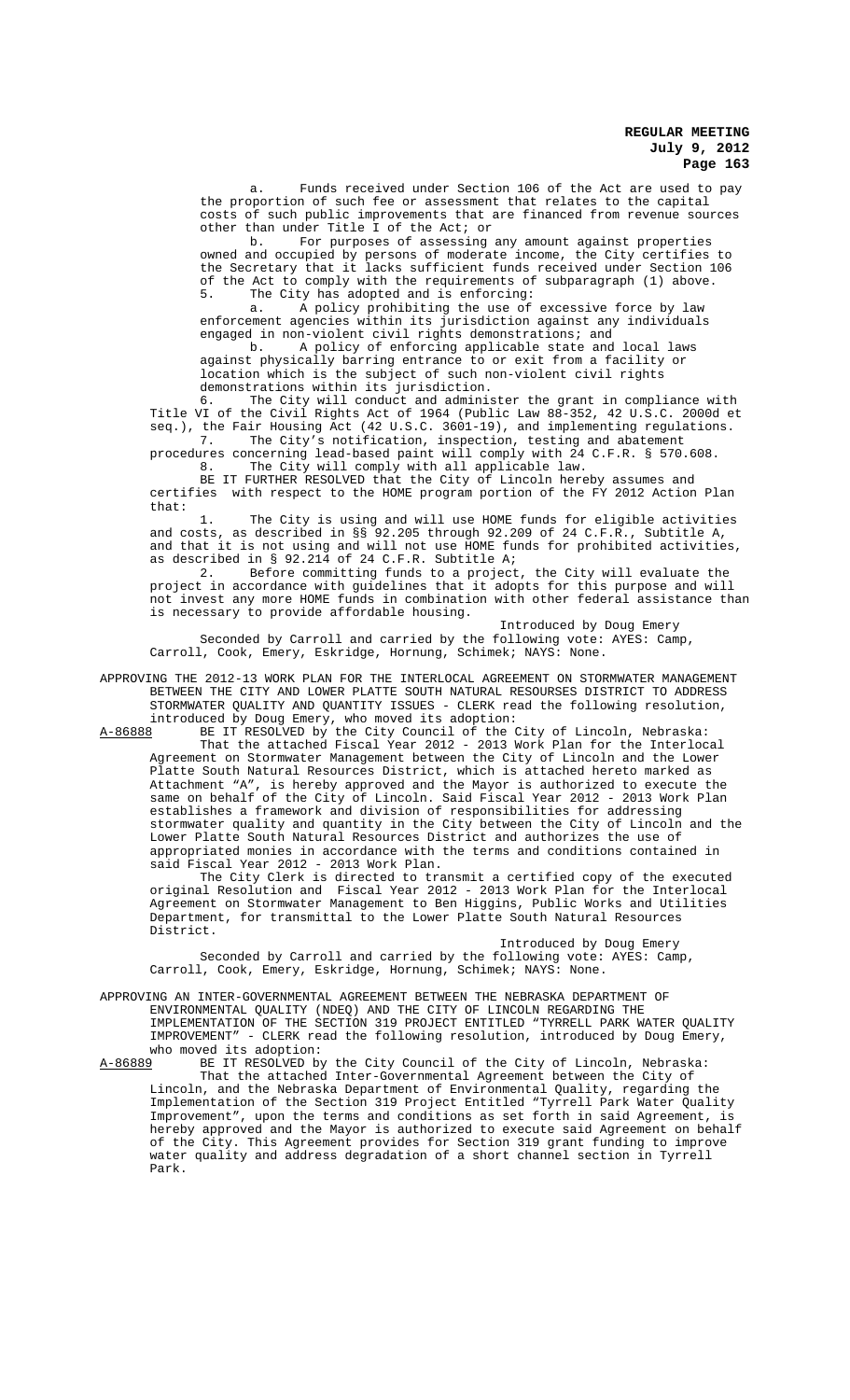a. Funds received under Section 106 of the Act are used to pay the proportion of such fee or assessment that relates to the capital costs of such public improvements that are financed from revenue sources other than under Title I of the Act; or<br>b. For purposes of assessing

For purposes of assessing any amount against properties owned and occupied by persons of moderate income, the City certifies to the Secretary that it lacks sufficient funds received under Section 106 of the Act to comply with the requirements of subparagraph  $(1)$  above.<br>5. The City has adopted and is enforcing: The City has adopted and is enforcing:

a. A policy prohibiting the use of excessive force by law enforcement agencies within its jurisdiction against any individuals engaged in non-violent civil rights demonstrations; and

b. A policy of enforcing applicable state and local laws against physically barring entrance to or exit from a facility or location which is the subject of such non-violent civil rights demonstrations within its jurisdiction.

6. The City will conduct and administer the grant in compliance with Title VI of the Civil Rights Act of 1964 (Public Law 88-352, 42 U.S.C. 2000d et seq.), the Fair Housing Act (42 U.S.C. 3601-19), and implementing regulations. 7. The City's notification, inspection, testing and abatement

procedures concerning lead-based paint will comply with 24 C.F.R. § 570.608. 8. The City will comply with all applicable law.

BE IT FURTHER RESOLVED that the City of Lincoln hereby assumes and certifies with respect to the HOME program portion of the FY 2012 Action Plan that:

1. The City is using and will use HOME funds for eligible activities and costs, as described in §§ 92.205 through 92.209 of 24 C.F.R., Subtitle A, and that it is not using and will not use HOME funds for prohibited activities, as described in § 92.214 of 24 C.F.R. Subtitle A;

2. Before committing funds to a project, the City will evaluate the project in accordance with guidelines that it adopts for this purpose and will not invest any more HOME funds in combination with other federal assistance than is necessary to provide affordable housing.

Introduced by Doug Emery Seconded by Carroll and carried by the following vote: AYES: Camp, Carroll, Cook, Emery, Eskridge, Hornung, Schimek; NAYS: None.

APPROVING THE 2012-13 WORK PLAN FOR THE INTERLOCAL AGREEMENT ON STORMWATER MANAGEMENT BETWEEN THE CITY AND LOWER PLATTE SOUTH NATURAL RESOURSES DISTRICT TO ADDRESS STORMWATER QUALITY AND QUANTITY ISSUES - CLERK read the following resolution, introduced by Doug Emery, who moved its adoption:

A-86888 BE IT RESOLVED by the City Council of the City of Lincoln, Nebraska: That the attached Fiscal Year 2012 - 2013 Work Plan for the Interlocal Agreement on Stormwater Management between the City of Lincoln and the Lower Platte South Natural Resources District, which is attached hereto marked as Attachment "A", is hereby approved and the Mayor is authorized to execute the same on behalf of the City of Lincoln. Said Fiscal Year 2012 - 2013 Work Plan establishes a framework and division of responsibilities for addressing stormwater quality and quantity in the City between the City of Lincoln and the Lower Platte South Natural Resources District and authorizes the use of appropriated monies in accordance with the terms and conditions contained in said Fiscal Year 2012 - 2013 Work Plan.

The City Clerk is directed to transmit a certified copy of the executed original Resolution and Fiscal Year 2012 - 2013 Work Plan for the Interlocal Agreement on Stormwater Management to Ben Higgins, Public Works and Utilities Department, for transmittal to the Lower Platte South Natural Resources District.

Introduced by Doug Emery Seconded by Carroll and carried by the following vote: AYES: Camp, Carroll, Cook, Emery, Eskridge, Hornung, Schimek; NAYS: None.

APPROVING AN INTER-GOVERNMENTAL AGREEMENT BETWEEN THE NEBRASKA DEPARTMENT OF

ENVIRONMENTAL QUALITY (NDEQ) AND THE CITY OF LINCOLN REGARDING THE IMPLEMENTATION OF THE SECTION 319 PROJECT ENTITLED "TYRRELL PARK WATER QUALITY IMPROVEMENT" - CLERK read the following resolution, introduced by Doug Emery, who moved its adoption:<br>A-86889 BE IT RESOLVED by

BE IT RESOLVED by the City Council of the City of Lincoln, Nebraska: That the attached Inter-Governmental Agreement between the City of Lincoln, and the Nebraska Department of Environmental Quality, regarding the Implementation of the Section 319 Project Entitled "Tyrrell Park Water Quality Improvement", upon the terms and conditions as set forth in said Agreement, is hereby approved and the Mayor is authorized to execute said Agreement on behalf of the City. This Agreement provides for Section 319 grant funding to improve water quality and address degradation of a short channel section in Tyrrell Park.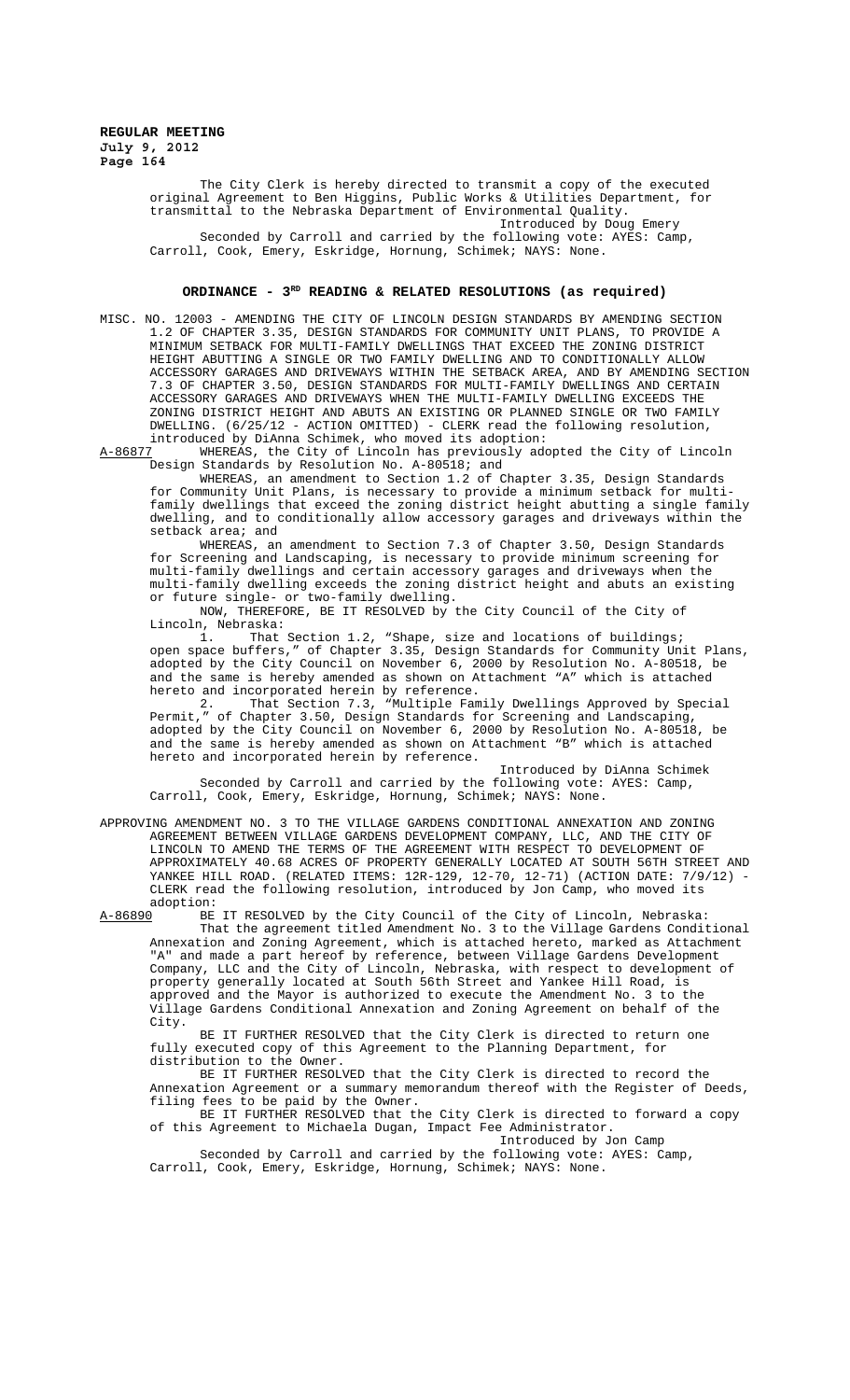> The City Clerk is hereby directed to transmit a copy of the executed original Agreement to Ben Higgins, Public Works & Utilities Department, for transmittal to the Nebraska Department of Environmental Quality. Introduced by Doug Emery

Seconded by Carroll and carried by the following vote: AYES: Camp, Carroll, Cook, Emery, Eskridge, Hornung, Schimek; NAYS: None.

# ORDINANCE -  $3^{RD}$  READING & RELATED RESOLUTIONS (as required)

MISC. NO. 12003 - AMENDING THE CITY OF LINCOLN DESIGN STANDARDS BY AMENDING SECTION 1.2 OF CHAPTER 3.35, DESIGN STANDARDS FOR COMMUNITY UNIT PLANS, TO PROVIDE A MINIMUM SETBACK FOR MULTI-FAMILY DWELLINGS THAT EXCEED THE ZONING DISTRICT HEIGHT ABUTTING A SINGLE OR TWO FAMILY DWELLING AND TO CONDITIONALLY ALLOW ACCESSORY GARAGES AND DRIVEWAYS WITHIN THE SETBACK AREA, AND BY AMENDING SECTION 7.3 OF CHAPTER 3.50, DESIGN STANDARDS FOR MULTI-FAMILY DWELLINGS AND CERTAIN ACCESSORY GARAGES AND DRIVEWAYS WHEN THE MULTI-FAMILY DWELLING EXCEEDS THE ZONING DISTRICT HEIGHT AND ABUTS AN EXISTING OR PLANNED SINGLE OR TWO FAMILY DWELLING. (6/25/12 - ACTION OMITTED) - CLERK read the following resolution, introduced by DiAnna Schimek, who moved its adoption:<br>A-86877 WHEREAS, the City of Lincoln has previously ad

WHEREAS, the City of Lincoln has previously adopted the City of Lincoln Design Standards by Resolution No. A-80518; and

WHEREAS, an amendment to Section 1.2 of Chapter 3.35, Design Standards for Community Unit Plans, is necessary to provide a minimum setback for multifamily dwellings that exceed the zoning district height abutting a single family dwelling, and to conditionally allow accessory garages and driveways within the setback area; and

WHEREAS, an amendment to Section 7.3 of Chapter 3.50, Design Standards for Screening and Landscaping, is necessary to provide minimum screening for multi-family dwellings and certain accessory garages and driveways when the multi-family dwelling exceeds the zoning district height and abuts an existing or future single- or two-family dwelling.

NOW, THEREFORE, BE IT RESOLVED by the City Council of the City of Lincoln, Nebraska:

1. That Section 1.2, "Shape, size and locations of buildings; open space buffers," of Chapter 3.35, Design Standards for Community Unit Plans, adopted by the City Council on November 6, 2000 by Resolution No. A-80518, be and the same is hereby amended as shown on Attachment "A" which is attached hereto and incorporated herein by reference.<br>2. That Section 7.3, "Multiple Family Dwellings Approved by Special

2. That Section 7.3, "Multiple Family Dwellings Approved by Special Permit," of Chapter 3.50, Design Standards for Screening and Landscaping, adopted by the City Council on November 6, 2000 by Resolution No. A-80518, be and the same is hereby amended as shown on Attachment "B" which is attached hereto and incorporated herein by reference.

Introduced by DiAnna Schimek Seconded by Carroll and carried by the following vote: AYES: Camp, Carroll, Cook, Emery, Eskridge, Hornung, Schimek; NAYS: None.

APPROVING AMENDMENT NO. 3 TO THE VILLAGE GARDENS CONDITIONAL ANNEXATION AND ZONING AGREEMENT BETWEEN VILLAGE GARDENS DEVELOPMENT COMPANY, LLC, AND THE CITY OF LINCOLN TO AMEND THE TERMS OF THE AGREEMENT WITH RESPECT TO DEVELOPMENT OF APPROXIMATELY 40.68 ACRES OF PROPERTY GENERALLY LOCATED AT SOUTH 56TH STREET AND YANKEE HILL ROAD. (RELATED ITEMS: 12R-129, 12-70, 12-71) (ACTION DATE: 7/9/12) CLERK read the following resolution, introduced by Jon Camp, who moved its adoption:<br><u>A-86890</u> BE

A-86890 BE IT RESOLVED by the City Council of the City of Lincoln, Nebraska: That the agreement titled Amendment No. 3 to the Village Gardens Conditional

Annexation and Zoning Agreement, which is attached hereto, marked as Attachment "A" and made a part hereof by reference, between Village Gardens Development Company, LLC and the City of Lincoln, Nebraska, with respect to development of property generally located at South 56th Street and Yankee Hill Road, is approved and the Mayor is authorized to execute the Amendment No. 3 to the Village Gardens Conditional Annexation and Zoning Agreement on behalf of the City.

BE IT FURTHER RESOLVED that the City Clerk is directed to return one fully executed copy of this Agreement to the Planning Department, for distribution to the Owner.

BE IT FURTHER RESOLVED that the City Clerk is directed to record the Annexation Agreement or a summary memorandum thereof with the Register of Deeds, filing fees to be paid by the Owner.

BE IT FURTHER RESOLVED that the City Clerk is directed to forward a copy of this Agreement to Michaela Dugan, Impact Fee Administrator.

Introduced by Jon Camp Seconded by Carroll and carried by the following vote: AYES: Camp, Carroll, Cook, Emery, Eskridge, Hornung, Schimek; NAYS: None.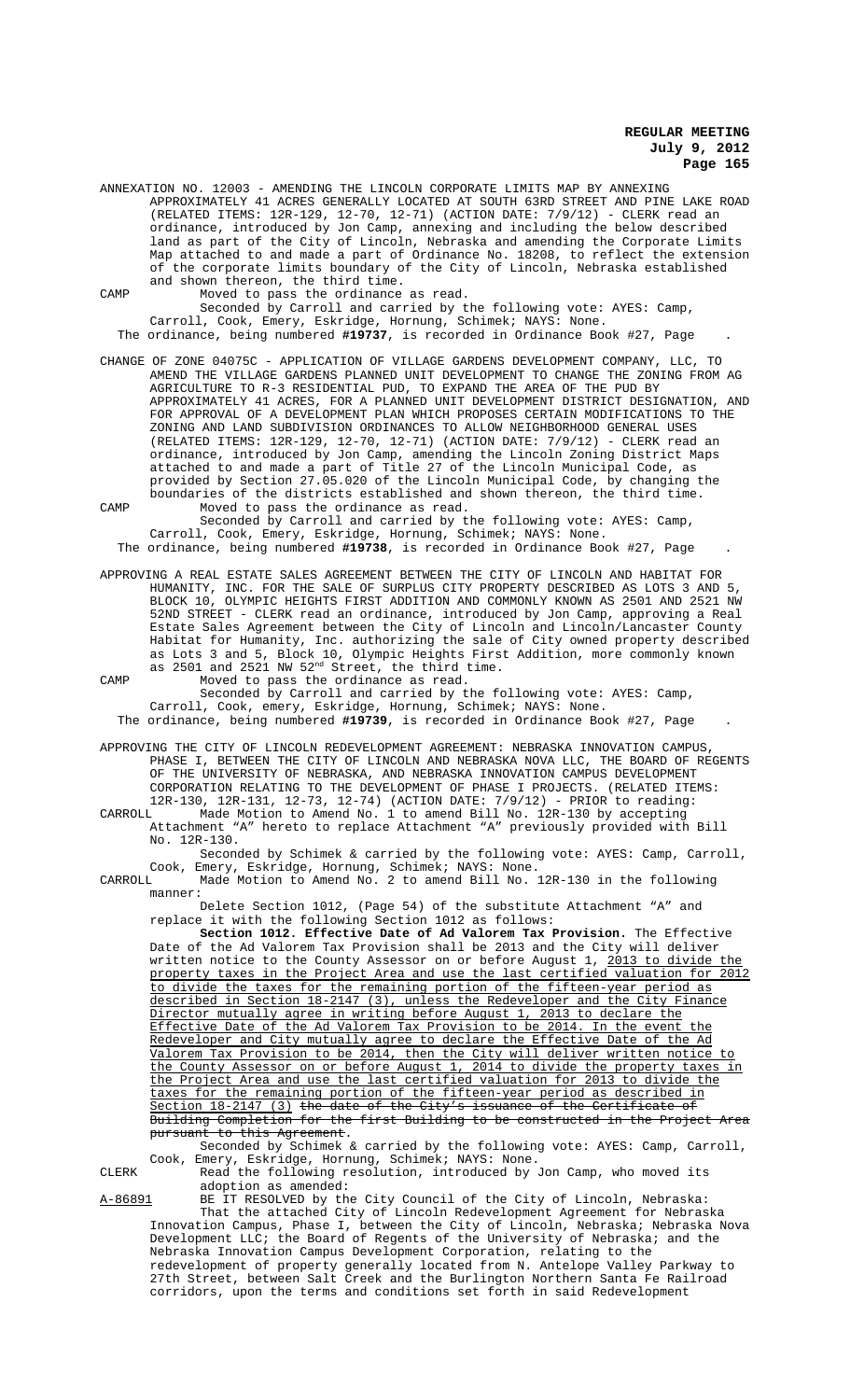ANNEXATION NO. 12003 - AMENDING THE LINCOLN CORPORATE LIMITS MAP BY ANNEXING APPROXIMATELY 41 ACRES GENERALLY LOCATED AT SOUTH 63RD STREET AND PINE LAKE ROAD (RELATED ITEMS: 12R-129, 12-70, 12-71) (ACTION DATE: 7/9/12) - CLERK read an ordinance, introduced by Jon Camp, annexing and including the below described land as part of the City of Lincoln, Nebraska and amending the Corporate Limits Map attached to and made a part of Ordinance No. 18208, to reflect the extension of the corporate limits boundary of the City of Lincoln, Nebraska established and shown thereon, the third time.

CAMP Moved to pass the ordinance as read.

Seconded by Carroll and carried by the following vote: AYES: Camp, Carroll, Cook, Emery, Eskridge, Hornung, Schimek; NAYS: None. The ordinance, being numbered **#19737**, is recorded in Ordinance Book #27, Page .

CHANGE OF ZONE 04075C - APPLICATION OF VILLAGE GARDENS DEVELOPMENT COMPANY, LLC, TO AMEND THE VILLAGE GARDENS PLANNED UNIT DEVELOPMENT TO CHANGE THE ZONING FROM AG AGRICULTURE TO R-3 RESIDENTIAL PUD, TO EXPAND THE AREA OF THE PUD BY APPROXIMATELY 41 ACRES, FOR A PLANNED UNIT DEVELOPMENT DISTRICT DESIGNATION, AND FOR APPROVAL OF A DEVELOPMENT PLAN WHICH PROPOSES CERTAIN MODIFICATIONS TO THE ZONING AND LAND SUBDIVISION ORDINANCES TO ALLOW NEIGHBORHOOD GENERAL USES (RELATED ITEMS: 12R-129, 12-70, 12-71) (ACTION DATE: 7/9/12) - CLERK read an ordinance, introduced by Jon Camp, amending the Lincoln Zoning District Maps attached to and made a part of Title 27 of the Lincoln Municipal Code, as provided by Section 27.05.020 of the Lincoln Municipal Code, by changing the boundaries of the districts established and shown thereon, the third time. CAMP Moved to pass the ordinance as read.

Seconded by Carroll and carried by the following vote: AYES: Camp, Carroll, Cook, Emery, Eskridge, Hornung, Schimek; NAYS: None. The ordinance, being numbered **#19738**, is recorded in Ordinance Book #27, Page .

APPROVING A REAL ESTATE SALES AGREEMENT BETWEEN THE CITY OF LINCOLN AND HABITAT FOR HUMANITY, INC. FOR THE SALE OF SURPLUS CITY PROPERTY DESCRIBED AS LOTS 3 AND 5, BLOCK 10, OLYMPIC HEIGHTS FIRST ADDITION AND COMMONLY KNOWN AS 2501 AND 2521 NW 52ND STREET - CLERK read an ordinance, introduced by Jon Camp, approving a Real Estate Sales Agreement between the City of Lincoln and Lincoln/Lancaster County Habitat for Humanity, Inc. authorizing the sale of City owned property described as Lots 3 and 5, Block 10, Olympic Heights First Addition, more commonly known as 2501 and 2521 NW 52<sup>nd</sup> Street, the third time. CAMP Moved to pass the ordinance as read.

Seconded by Carroll and carried by the following vote: AYES: Camp, Carroll, Cook, emery, Eskridge, Hornung, Schimek; NAYS: None. The ordinance, being numbered **#19739**, is recorded in Ordinance Book #27, Page .

APPROVING THE CITY OF LINCOLN REDEVELOPMENT AGREEMENT: NEBRASKA INNOVATION CAMPUS, PHASE I, BETWEEN THE CITY OF LINCOLN AND NEBRASKA NOVA LLC, THE BOARD OF REGENTS OF THE UNIVERSITY OF NEBRASKA, AND NEBRASKA INNOVATION CAMPUS DEVELOPMENT CORPORATION RELATING TO THE DEVELOPMENT OF PHASE I PROJECTS. (RELATED ITEMS: 12R-130, 12R-131, 12-73, 12-74) (ACTION DATE: 7/9/12) - PRIOR to reading:

CARROLL Made Motion to Amend No. 1 to amend Bill No. 12R-130 by accepting Attachment "A" hereto to replace Attachment "A" previously provided with Bill No. 12R-130.

Seconded by Schimek & carried by the following vote: AYES: Camp, Carroll, Cook, Emery, Eskridge, Hornung, Schimek; NAYS: None.

CARROLL Made Motion to Amend No. 2 to amend Bill No. 12R-130 in the following manner:

Delete Section 1012, (Page 54) of the substitute Attachment "A" and replace it with the following Section 1012 as follows:

**Section 1012. Effective Date of Ad Valorem Tax Provision.** The Effective Date of the Ad Valorem Tax Provision shall be 2013 and the City will deliver written notice to the County Assessor on or before August 1, 2013 to divide the property taxes in the Project Area and use the last certified valuation for 2012 to divide the taxes for the remaining portion of the fifteen-year period as described in Section 18-2147 (3), unless the Redeveloper and the City Finance Director mutually agree in writing before August 1, 2013 to declare the Effective Date of the Ad Valorem Tax Provision to be 2014. In the event the Redeveloper and City mutually agree to declare the Effective Date of the Ad Valorem Tax Provision to be 2014, then the City will deliver written notice the County Assessor on or before August 1, 2014 to divide the property taxes in the Project Area and use the last certified valuation for 2013 to divide the taxes for the remaining portion of the fifteen-year period as described in Section  $18-2147$  (3) the date of the City's issuance of the Certificate Building Completion for the first Building to be constructed in the Project Area pursuant to this Agreement.

Seconded by Schimek & carried by the following vote: AYES: Camp, Carroll, Cook, Emery, Eskridge, Hornung, Schimek; NAYS: None.

CLERK Read the following resolution, introduced by Jon Camp, who moved its adoption as amended:

A-86891 BE IT RESOLVED by the City Council of the City of Lincoln, Nebraska: That the attached City of Lincoln Redevelopment Agreement for Nebraska Innovation Campus, Phase I, between the City of Lincoln, Nebraska; Nebraska Nova Development LLC; the Board of Regents of the University of Nebraska; and the Nebraska Innovation Campus Development Corporation, relating to the redevelopment of property generally located from N. Antelope Valley Parkway to 27th Street, between Salt Creek and the Burlington Northern Santa Fe Railroad corridors, upon the terms and conditions set forth in said Redevelopment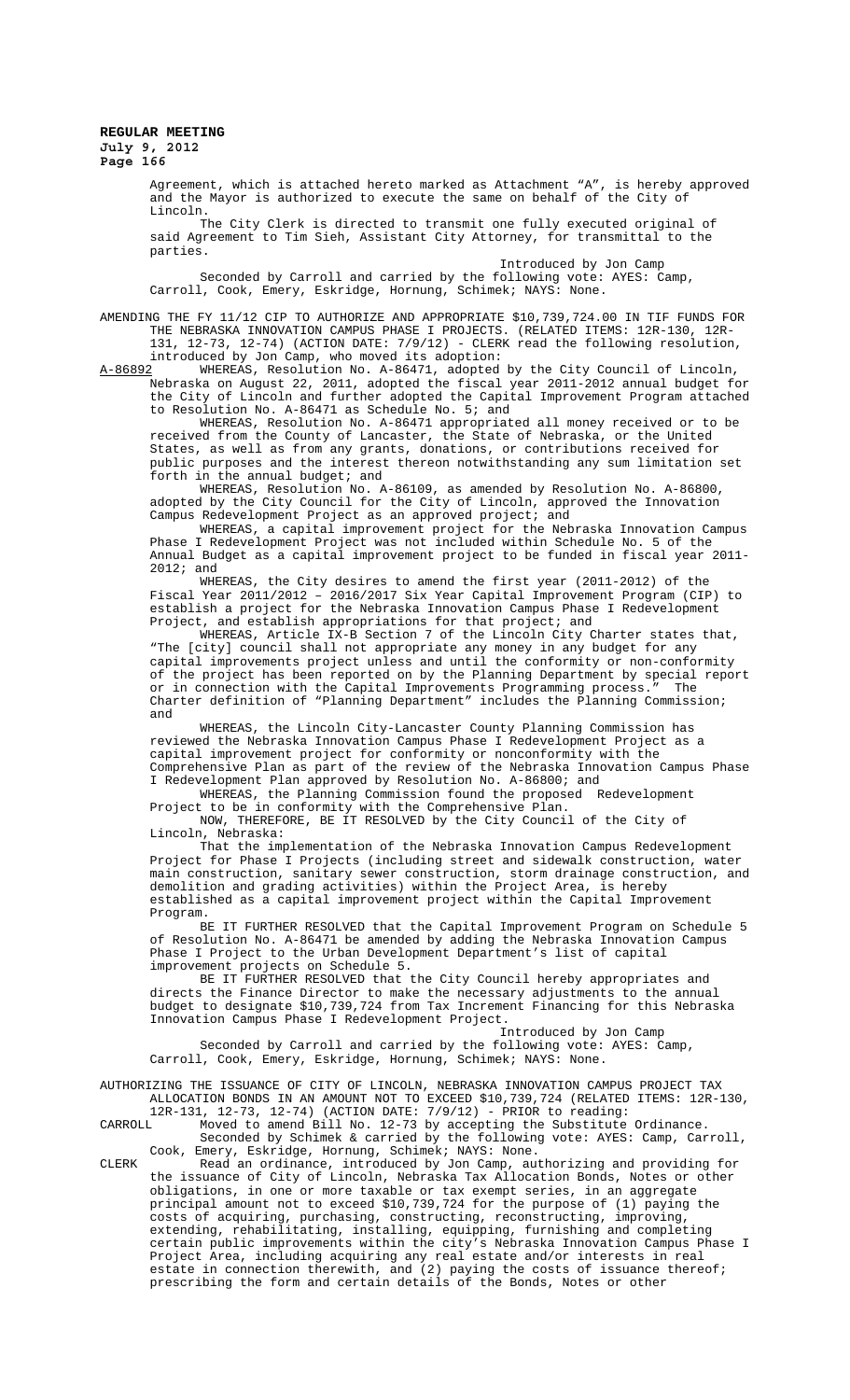> Agreement, which is attached hereto marked as Attachment "A", is hereby approved and the Mayor is authorized to execute the same on behalf of the City of Lincoln.

The City Clerk is directed to transmit one fully executed original of said Agreement to Tim Sieh, Assistant City Attorney, for transmittal to the parties.

Introduced by Jon Camp Seconded by Carroll and carried by the following vote: AYES: Camp, Carroll, Cook, Emery, Eskridge, Hornung, Schimek; NAYS: None.

AMENDING THE FY 11/12 CIP TO AUTHORIZE AND APPROPRIATE \$10,739,724.00 IN TIF FUNDS FOR THE NEBRASKA INNOVATION CAMPUS PHASE I PROJECTS. (RELATED ITEMS: 12R-130, 12R-131, 12-73, 12-74) (ACTION DATE: 7/9/12) - CLERK read the following resolution, introduced by Jon Camp, who moved its adoption:

A-86892 MHEREAS, Resolution No. A-86471, adopted by the City Council of Lincoln, Nebraska on August 22, 2011, adopted the fiscal year 2011-2012 annual budget for the City of Lincoln and further adopted the Capital Improvement Program attached to Resolution No. A-86471 as Schedule No. 5; and

WHEREAS, Resolution No. A-86471 appropriated all money received or to be received from the County of Lancaster, the State of Nebraska, or the United States, as well as from any grants, donations, or contributions received for public purposes and the interest thereon notwithstanding any sum limitation set forth in the annual budget; and

WHEREAS, Resolution No. A-86109, as amended by Resolution No. A-86800, adopted by the City Council for the City of Lincoln, approved the Innovation Campus Redevelopment Project as an approved project; and

WHEREAS, a capital improvement project for the Nebraska Innovation Campus Phase I Redevelopment Project was not included within Schedule No. 5 of the Annual Budget as a capital improvement project to be funded in fiscal year 2011- 2012; and

WHEREAS, the City desires to amend the first year (2011-2012) of the Fiscal Year 2011/2012 – 2016/2017 Six Year Capital Improvement Program (CIP) to establish a project for the Nebraska Innovation Campus Phase I Redevelopment Project, and establish appropriations for that project; and

WHEREAS, Article IX-B Section 7 of the Lincoln City Charter states that, "The [city] council shall not appropriate any money in any budget for any capital improvements project unless and until the conformity or non-conformity of the project has been reported on by the Planning Department by special report or in connection with the Capital Improvements Programming process." The Charter definition of "Planning Department" includes the Planning Commission; and

WHEREAS, the Lincoln City-Lancaster County Planning Commission has reviewed the Nebraska Innovation Campus Phase I Redevelopment Project as a capital improvement project for conformity or nonconformity with the Comprehensive Plan as part of the review of the Nebraska Innovation Campus Phase I Redevelopment Plan approved by Resolution No. A-86800; and

WHEREAS, the Planning Commission found the proposed Redevelopment Project to be in conformity with the Comprehensive Plan.

NOW, THEREFORE, BE IT RESOLVED by the City Council of the City of Lincoln, Nebraska:

That the implementation of the Nebraska Innovation Campus Redevelopment Project for Phase I Projects (including street and sidewalk construction, water main construction, sanitary sewer construction, storm drainage construction, and demolition and grading activities) within the Project Area, is hereby established as a capital improvement project within the Capital Improvement Program.

BE IT FURTHER RESOLVED that the Capital Improvement Program on Schedule 5 of Resolution No. A-86471 be amended by adding the Nebraska Innovation Campus Phase I Project to the Urban Development Department's list of capital improvement projects on Schedule 5.

BE IT FURTHER RESOLVED that the City Council hereby appropriates and directs the Finance Director to make the necessary adjustments to the annual budget to designate \$10,739,724 from Tax Increment Financing for this Nebraska Innovation Campus Phase I Redevelopment Project.

Introduced by Jon Camp Seconded by Carroll and carried by the following vote: AYES: Camp, Carroll, Cook, Emery, Eskridge, Hornung, Schimek; NAYS: None.

AUTHORIZING THE ISSUANCE OF CITY OF LINCOLN, NEBRASKA INNOVATION CAMPUS PROJECT TAX ALLOCATION BONDS IN AN AMOUNT NOT TO EXCEED \$10,739,724 (RELATED ITEMS: 12R-130, 12R-131, 12-73, 12-74) (ACTION DATE: 7/9/12) - PRIOR to reading:

CARROLL Moved to amend Bill No. 12-73 by accepting the Substitute Ordinance. Seconded by Schimek & carried by the following vote: AYES: Camp, Carroll, Cook, Emery, Eskridge, Hornung, Schimek; NAYS: None.

CLERK Read an ordinance, introduced by Jon Camp, authorizing and providing for the issuance of City of Lincoln, Nebraska Tax Allocation Bonds, Notes or other obligations, in one or more taxable or tax exempt series, in an aggregate principal amount not to exceed \$10,739,724 for the purpose of (1) paying the costs of acquiring, purchasing, constructing, reconstructing, improving, extending, rehabilitating, installing, equipping, furnishing and completing certain public improvements within the city's Nebraska Innovation Campus Phase I Project Area, including acquiring any real estate and/or interests in real estate in connection therewith, and (2) paying the costs of issuance thereof; prescribing the form and certain details of the Bonds, Notes or other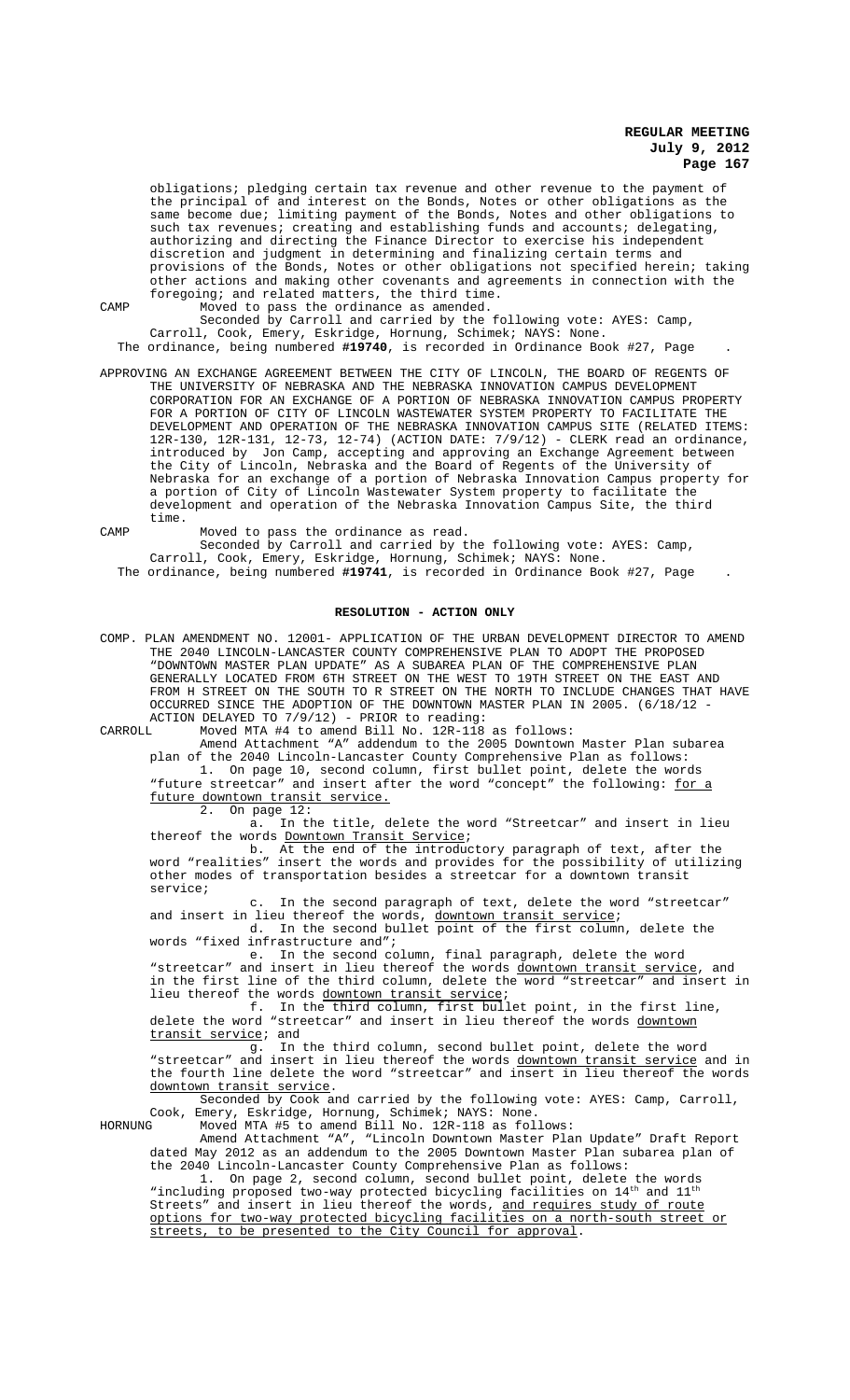obligations; pledging certain tax revenue and other revenue to the payment of the principal of and interest on the Bonds, Notes or other obligations as the same become due; limiting payment of the Bonds, Notes and other obligations to such tax revenues; creating and establishing funds and accounts; delegating, authorizing and directing the Finance Director to exercise his independent discretion and judgment in determining and finalizing certain terms and provisions of the Bonds, Notes or other obligations not specified herein; taking other actions and making other covenants and agreements in connection with the foregoing; and related matters, the third time.

CAMP Moved to pass the ordinance as amended.

Seconded by Carroll and carried by the following vote: AYES: Camp, Carroll, Cook, Emery, Eskridge, Hornung, Schimek; NAYS: None. The ordinance, being numbered **#19740**, is recorded in Ordinance Book #27, Page .

APPROVING AN EXCHANGE AGREEMENT BETWEEN THE CITY OF LINCOLN, THE BOARD OF REGENTS OF THE UNIVERSITY OF NEBRASKA AND THE NEBRASKA INNOVATION CAMPUS DEVELOPMENT CORPORATION FOR AN EXCHANGE OF A PORTION OF NEBRASKA INNOVATION CAMPUS PROPERTY FOR A PORTION OF CITY OF LINCOLN WASTEWATER SYSTEM PROPERTY TO FACILITATE THE DEVELOPMENT AND OPERATION OF THE NEBRASKA INNOVATION CAMPUS SITE (RELATED ITEMS: 12R-130, 12R-131, 12-73, 12-74) (ACTION DATE: 7/9/12) - CLERK read an ordinance, introduced by Jon Camp, accepting and approving an Exchange Agreement between the City of Lincoln, Nebraska and the Board of Regents of the University of Nebraska for an exchange of a portion of Nebraska Innovation Campus property for a portion of City of Lincoln Wastewater System property to facilitate the development and operation of the Nebraska Innovation Campus Site, the third time.

CAMP Moved to pass the ordinance as read.

Seconded by Carroll and carried by the following vote: AYES: Camp, Carroll, Cook, Emery, Eskridge, Hornung, Schimek; NAYS: None. The ordinance, being numbered **#19741**, is recorded in Ordinance Book #27, Page .

#### **RESOLUTION - ACTION ONLY**

COMP. PLAN AMENDMENT NO. 12001- APPLICATION OF THE URBAN DEVELOPMENT DIRECTOR TO AMEND THE 2040 LINCOLN-LANCASTER COUNTY COMPREHENSIVE PLAN TO ADOPT THE PROPOSED "DOWNTOWN MASTER PLAN UPDATE" AS A SUBAREA PLAN OF THE COMPREHENSIVE PLAN GENERALLY LOCATED FROM 6TH STREET ON THE WEST TO 19TH STREET ON THE EAST AND FROM H STREET ON THE SOUTH TO R STREET ON THE NORTH TO INCLUDE CHANGES THAT HAVE OCCURRED SINCE THE ADOPTION OF THE DOWNTOWN MASTER PLAN IN 2005. (6/18/12 ACTION DELAYED TO 7/9/12) - PRIOR to reading:<br>CARROLL Moved MTA #4 to amend Bill No. 12R-118

CARROLL Moved MTA #4 to amend Bill No. 12R-118 as follows:

Amend Attachment "A" addendum to the 2005 Downtown Master Plan subarea plan of the 2040 Lincoln-Lancaster County Comprehensive Plan as follows: 1. On page 10, second column, first bullet point, delete the words "future streetcar" and insert after the word "concept" the following: for a future downtown transit service.

On page  $12:$ a. In the title, delete the word "Streetcar" and insert in lieu thereof the words Downtown Transit Service;

b. At the end of the introductory paragraph of text, after the word "realities" insert the words and provides for the possibility of utilizing other modes of transportation besides a streetcar for a downtown transit service;

c. In the second paragraph of text, delete the word "streetcar" and insert in lieu thereof the words, downtown transit service; d. In the second bullet point of the first column, delete the

words "fixed infrastructure and"; e. In the second column, final paragraph, delete the word

"streetcar" and insert in lieu thereof the words downtown transit service, and in the first line of the third column, delete the word "streetcar" and insert in lieu thereof the words downtown transit service;

f. In the third column, first bullet point, in the first line, delete the word "streetcar" and insert in lieu thereof the words downtown<br>delete the word "streetcar" and insert in lieu thereof the words <u>downtown</u> transit service; and

g. In the third column, second bullet point, delete the word "streetcar" and insert in lieu thereof the words downtown transit service and in the fourth line delete the word "streetcar" and insert in lieu thereof the words downtown transit service.

Seconded by Cook and carried by the following vote: AYES: Camp, Carroll, Cook, Emery, Eskridge, Hornung, Schimek; NAYS: None.

HORNUNG Moved MTA #5 to amend Bill No. 12R-118 as follows:

Amend Attachment "A", "Lincoln Downtown Master Plan Update" Draft Report dated May 2012 as an addendum to the 2005 Downtown Master Plan subarea plan of the 2040 Lincoln-Lancaster County Comprehensive Plan as follows:

1. On page 2, second column, second bullet point, delete the words "including proposed two-way protected bicycling facilities on  $14^{\text{th}}$  and  $11^{\text{th}}$ Streets" and insert in lieu thereof the words, <u>and requires study of route</u> options for two-way protected bicycling facilities on a north-south street or streets, to be presented to the City Council for approval.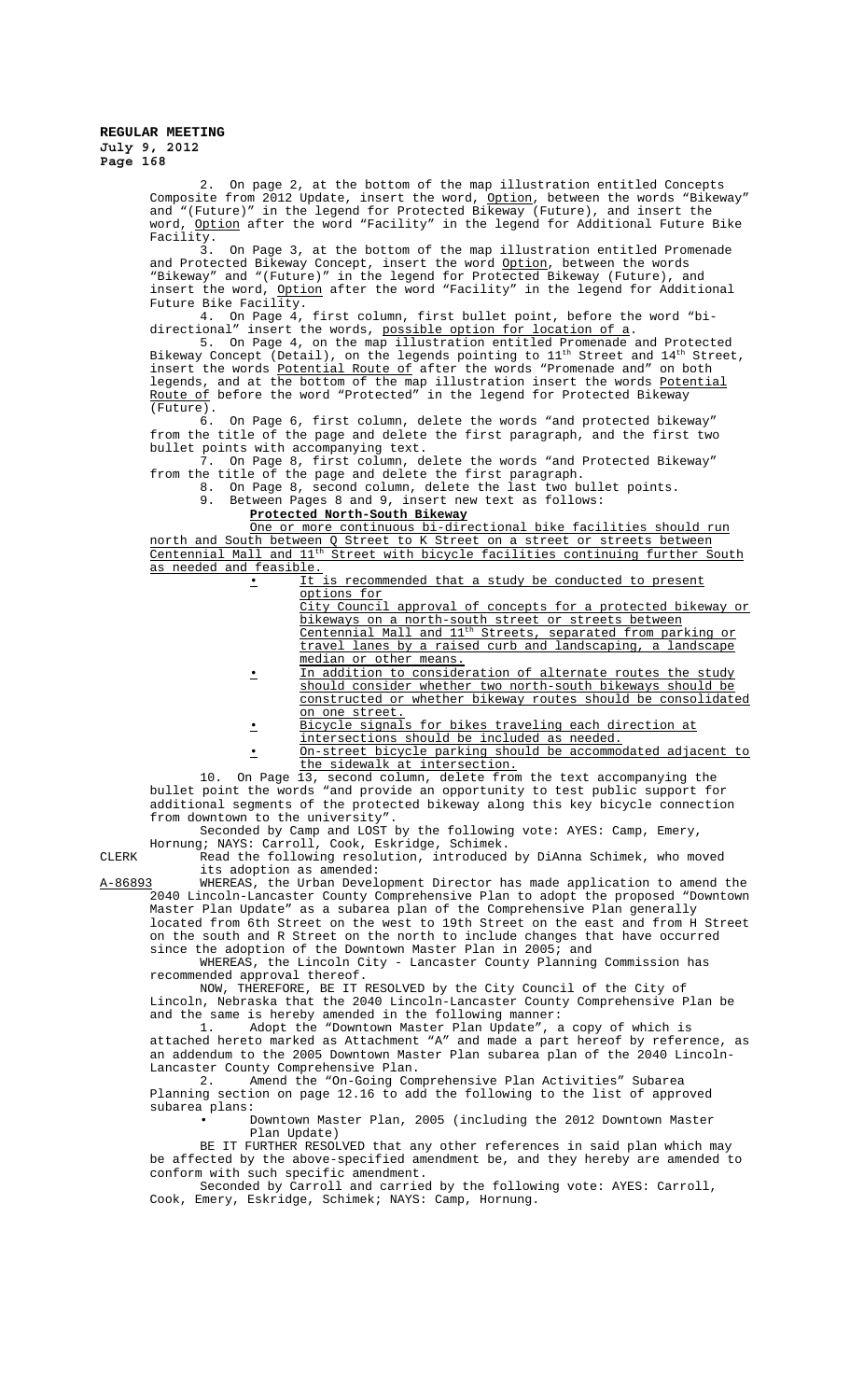2. On page 2, at the bottom of the map illustration entitled Concepts Composite from 2012 Update, insert the word, <u>Option</u>, between the words "Bikeway" and "(Future)" in the legend for Protected Bikeway (Future), and insert the word, Option after the word "Facility" in the legend for Additional Future Bike Facility.

3. On Page 3, at the bottom of the map illustration entitled Promenade and Protected Bikeway Concept, insert the word <u>Option</u>, between the words "Bikeway" and "(Future)" in the legend for Protected Bikeway (Future), and insert the word, Option after the word "Facility" in the legend for Additional Future Bike Facility.

4. On Page 4, first column, first bullet point, before the word "bidirectional" insert the words, possible option for location of a.

5. On Page 4, on the map illustration entitled Promenade and Protected Bikeway Concept (Detail), on the legends pointing to  $11^{\rm th}$  Street and  $14^{\rm th}$  Street, insert the words Potential Route of after the words "Promenade and" on both legends, and at the bottom of the map illustration insert the words Potential Route of before the word "Protected" in the legend for Protected Bikeway (Future).

6. On Page 6, first column, delete the words "and protected bikeway" from the title of the page and delete the first paragraph, and the first two bullet points with accompanying text.

On Page 8, first column, delete the words "and Protected Bikeway" from the title of the page and delete the first paragraph.

8. On Page 8, second column, delete the last two bullet points. 9. Between Pages 8 and 9, insert new text as follows:

#### **Protected North-South Bikeway**

One or more continuous bi-directional bike facilities should run north and South between Q Street to K Street on a street or streets between Centennial Mall and 11<sup>th</sup> Street with bicycle facilities continuing further South as needed and feasible.

• It is recommended that a study be conducted to present options for

City Council approval of concepts for a protected bikeway or bikeways on a north-south street or streets between Centennial Mall and 11th Streets, separated from parking or travel lanes by a raised curb and landscaping, a landscape median or other means.

- In addition to consideration of alternate routes the study should consider whether two north-south bikeways should be constructed or whether bikeway routes should be consolidated on one street.
- Bicycle signals for bikes traveling each direction at
- intersections should be included as needed. • On-street bicycle parking should be accommodated adjacent to the sidewalk at intersection.

10. On Page 13, second column, delete from the text accompanying the bullet point the words "and provide an opportunity to test public support for additional segments of the protected bikeway along this key bicycle connection from downtown to the university".

Seconded by Camp and LOST by the following vote: AYES: Camp, Emery, Hornung; NAYS: Carroll, Cook, Eskridge, Schimek.

CLERK Read the following resolution, introduced by DiAnna Schimek, who moved its adoption as amended:<br>WHEREAS, the Urban Development Director has made application to amend the

A-86893 WHEREAS, the Urban Development Director has made application to amend the 2040 Lincoln-Lancaster County Comprehensive Plan to adopt the proposed "Downtown Master Plan Update" as a subarea plan of the Comprehensive Plan generally located from 6th Street on the west to 19th Street on the east and from H Street on the south and R Street on the north to include changes that have occurred

since the adoption of the Downtown Master Plan in 2005; and WHEREAS, the Lincoln City - Lancaster County Planning Commission has recommended approval thereof.

NOW, THEREFORE, BE IT RESOLVED by the City Council of the City of Lincoln, Nebraska that the 2040 Lincoln-Lancaster County Comprehensive Plan be and the same is hereby amended in the following manner:

1. Adopt the "Downtown Master Plan Update", a copy of which is attached hereto marked as Attachment "A" and made a part hereof by reference, as an addendum to the 2005 Downtown Master Plan subarea plan of the 2040 Lincoln-Lancaster County Comprehensive Plan.<br>2. Amend the "On-Going Com

Amend the "On-Going Comprehensive Plan Activities" Subarea Planning section on page 12.16 to add the following to the list of approved subarea plans:

• Downtown Master Plan, 2005 (including the 2012 Downtown Master Plan Update)

BE IT FURTHER RESOLVED that any other references in said plan which may be affected by the above-specified amendment be, and they hereby are amended to conform with such specific amendment.

Seconded by Carroll and carried by the following vote: AYES: Carroll, Cook, Emery, Eskridge, Schimek; NAYS: Camp, Hornung.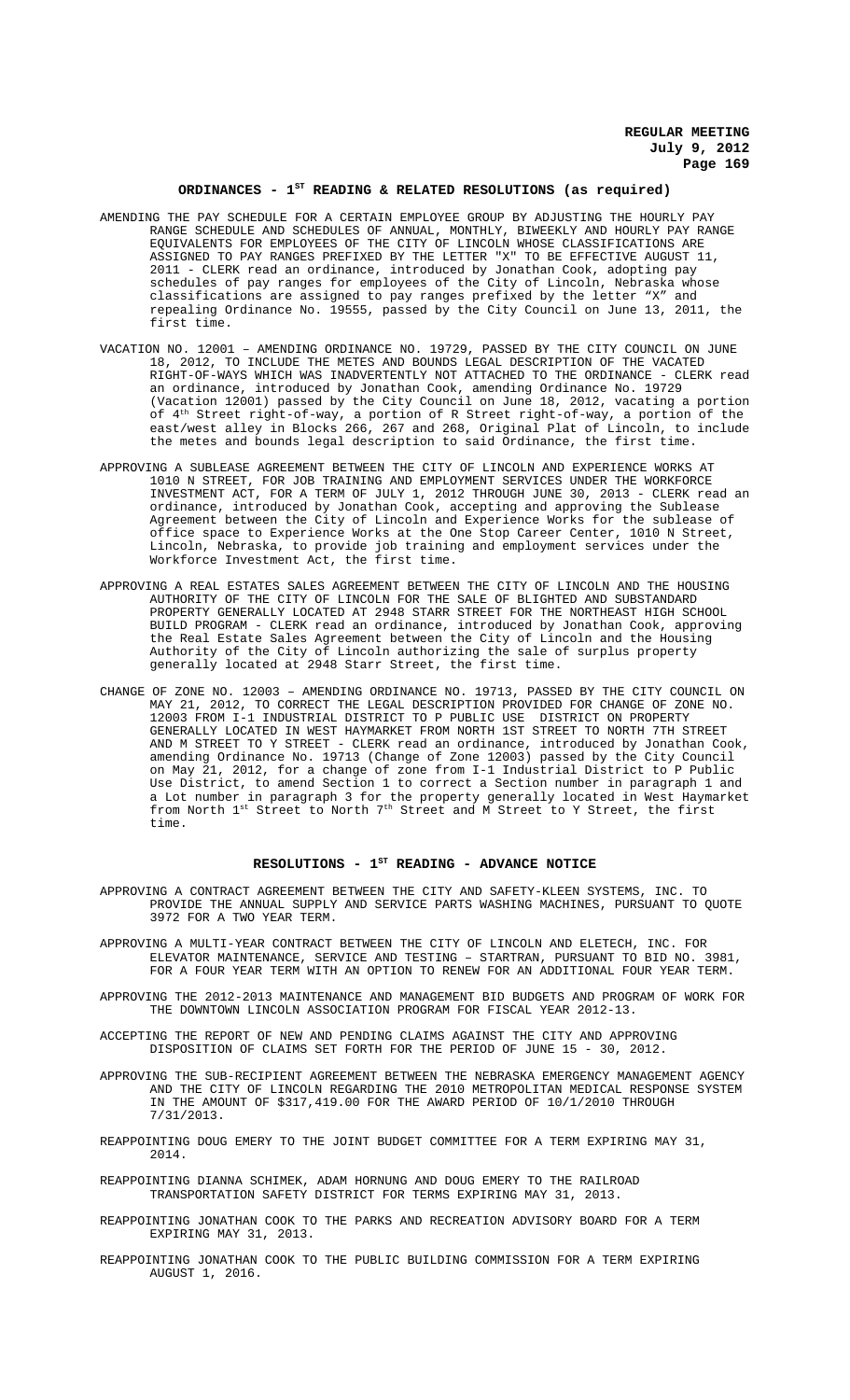## ORDINANCES - 1<sup>st</sup> READING & RELATED RESOLUTIONS (as required)

- AMENDING THE PAY SCHEDULE FOR A CERTAIN EMPLOYEE GROUP BY ADJUSTING THE HOURLY PAY RANGE SCHEDULE AND SCHEDULES OF ANNUAL, MONTHLY, BIWEEKLY AND HOURLY PAY RANGE EQUIVALENTS FOR EMPLOYEES OF THE CITY OF LINCOLN WHOSE CLASSIFICATIONS ARE ASSIGNED TO PAY RANGES PREFIXED BY THE LETTER "X" TO BE EFFECTIVE AUGUST 11, 2011 - CLERK read an ordinance, introduced by Jonathan Cook, adopting pay schedules of pay ranges for employees of the City of Lincoln, Nebraska whose classifications are assigned to pay ranges prefixed by the letter "X" and repealing Ordinance No. 19555, passed by the City Council on June 13, 2011, the first time.
- VACATION NO. 12001 AMENDING ORDINANCE NO. 19729, PASSED BY THE CITY COUNCIL ON JUNE 18, 2012, TO INCLUDE THE METES AND BOUNDS LEGAL DESCRIPTION OF THE VACATED RIGHT-OF-WAYS WHICH WAS INADVERTENTLY NOT ATTACHED TO THE ORDINANCE - CLERK read an ordinance, introduced by Jonathan Cook, amending Ordinance No. 19729 (Vacation 12001) passed by the City Council on June 18, 2012, vacating a portion of 4th Street right-of-way, a portion of R Street right-of-way, a portion of the east/west alley in Blocks 266, 267 and 268, Original Plat of Lincoln, to include the metes and bounds legal description to said Ordinance, the first time.
- APPROVING A SUBLEASE AGREEMENT BETWEEN THE CITY OF LINCOLN AND EXPERIENCE WORKS AT 1010 N STREET, FOR JOB TRAINING AND EMPLOYMENT SERVICES UNDER THE WORKFORCE INVESTMENT ACT, FOR A TERM OF JULY 1, 2012 THROUGH JUNE 30, 2013 - CLERK read an ordinance, introduced by Jonathan Cook, accepting and approving the Sublease Agreement between the City of Lincoln and Experience Works for the sublease of office space to Experience Works at the One Stop Career Center, 1010 N Street, Lincoln, Nebraska, to provide job training and employment services under the Workforce Investment Act, the first time.
- APPROVING A REAL ESTATES SALES AGREEMENT BETWEEN THE CITY OF LINCOLN AND THE HOUSING AUTHORITY OF THE CITY OF LINCOLN FOR THE SALE OF BLIGHTED AND SUBSTANDARD PROPERTY GENERALLY LOCATED AT 2948 STARR STREET FOR THE NORTHEAST HIGH SCHOOL BUILD PROGRAM - CLERK read an ordinance, introduced by Jonathan Cook, approving the Real Estate Sales Agreement between the City of Lincoln and the Housing Authority of the City of Lincoln authorizing the sale of surplus property generally located at 2948 Starr Street, the first time.
- CHANGE OF ZONE NO. 12003 AMENDING ORDINANCE NO. 19713, PASSED BY THE CITY COUNCIL ON MAY 21, 2012, TO CORRECT THE LEGAL DESCRIPTION PROVIDED FOR CHANGE OF ZONE NO. 12003 FROM I-1 INDUSTRIAL DISTRICT TO P PUBLIC USE DISTRICT ON PROPERTY GENERALLY LOCATED IN WEST HAYMARKET FROM NORTH 1ST STREET TO NORTH 7TH STREET AND M STREET TO Y STREET - CLERK read an ordinance, introduced by Jonathan Cook, amending Ordinance No. 19713 (Change of Zone 12003) passed by the City Council on May 21, 2012, for a change of zone from I-1 Industrial District to P Public Use District, to amend Section 1 to correct a Section number in paragraph 1 and a Lot number in paragraph 3 for the property generally located in West Haymarket from North  $1^\text{st}$  Street to North  $7^\text{th}$  Street and M Street to Y Street, the first time.

# RESOLUTIONS - 1<sup>st</sup> READING - ADVANCE NOTICE

- APPROVING A CONTRACT AGREEMENT BETWEEN THE CITY AND SAFETY-KLEEN SYSTEMS, INC. TO PROVIDE THE ANNUAL SUPPLY AND SERVICE PARTS WASHING MACHINES, PURSUANT TO QUOTE 3972 FOR A TWO YEAR TERM.
- APPROVING A MULTI-YEAR CONTRACT BETWEEN THE CITY OF LINCOLN AND ELETECH, INC. FOR ELEVATOR MAINTENANCE, SERVICE AND TESTING – STARTRAN, PURSUANT TO BID NO. 3981, FOR A FOUR YEAR TERM WITH AN OPTION TO RENEW FOR AN ADDITIONAL FOUR YEAR TERM.
- APPROVING THE 2012-2013 MAINTENANCE AND MANAGEMENT BID BUDGETS AND PROGRAM OF WORK FOR THE DOWNTOWN LINCOLN ASSOCIATION PROGRAM FOR FISCAL YEAR 2012-13.
- ACCEPTING THE REPORT OF NEW AND PENDING CLAIMS AGAINST THE CITY AND APPROVING DISPOSITION OF CLAIMS SET FORTH FOR THE PERIOD OF JUNE 15 - 30, 2012.
- APPROVING THE SUB-RECIPIENT AGREEMENT BETWEEN THE NEBRASKA EMERGENCY MANAGEMENT AGENCY AND THE CITY OF LINCOLN REGARDING THE 2010 METROPOLITAN MEDICAL RESPONSE SYSTEM IN THE AMOUNT OF \$317,419.00 FOR THE AWARD PERIOD OF 10/1/2010 THROUGH 7/31/2013.
- REAPPOINTING DOUG EMERY TO THE JOINT BUDGET COMMITTEE FOR A TERM EXPIRING MAY 31, 2014.
- REAPPOINTING DIANNA SCHIMEK, ADAM HORNUNG AND DOUG EMERY TO THE RAILROAD TRANSPORTATION SAFETY DISTRICT FOR TERMS EXPIRING MAY 31, 2013.
- REAPPOINTING JONATHAN COOK TO THE PARKS AND RECREATION ADVISORY BOARD FOR A TERM EXPIRING MAY 31, 2013.
- REAPPOINTING JONATHAN COOK TO THE PUBLIC BUILDING COMMISSION FOR A TERM EXPIRING AUGUST 1, 2016.